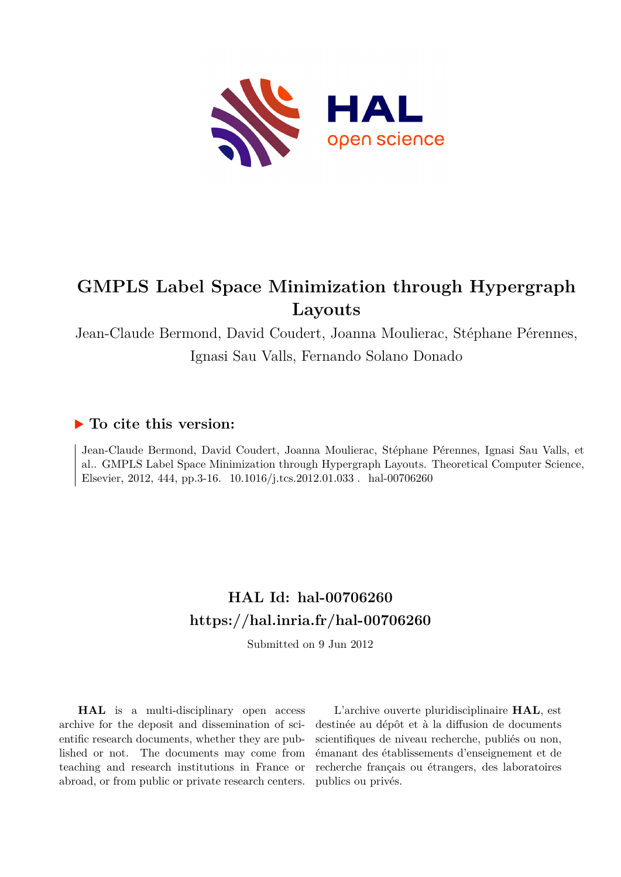

# **GMPLS Label Space Minimization through Hypergraph Layouts**

Jean-Claude Bermond, David Coudert, Joanna Moulierac, Stéphane Pérennes, Ignasi Sau Valls, Fernando Solano Donado

# **To cite this version:**

Jean-Claude Bermond, David Coudert, Joanna Moulierac, Stéphane Pérennes, Ignasi Sau Valls, et al.. GMPLS Label Space Minimization through Hypergraph Layouts. Theoretical Computer Science, Elsevier, 2012, 444, pp.3-16. 10.1016/j.tcs.2012.01.033. hal-00706260

# **HAL Id: hal-00706260 <https://hal.inria.fr/hal-00706260>**

Submitted on 9 Jun 2012

**HAL** is a multi-disciplinary open access archive for the deposit and dissemination of scientific research documents, whether they are published or not. The documents may come from teaching and research institutions in France or abroad, or from public or private research centers.

L'archive ouverte pluridisciplinaire **HAL**, est destinée au dépôt et à la diffusion de documents scientifiques de niveau recherche, publiés ou non, émanant des établissements d'enseignement et de recherche français ou étrangers, des laboratoires publics ou privés.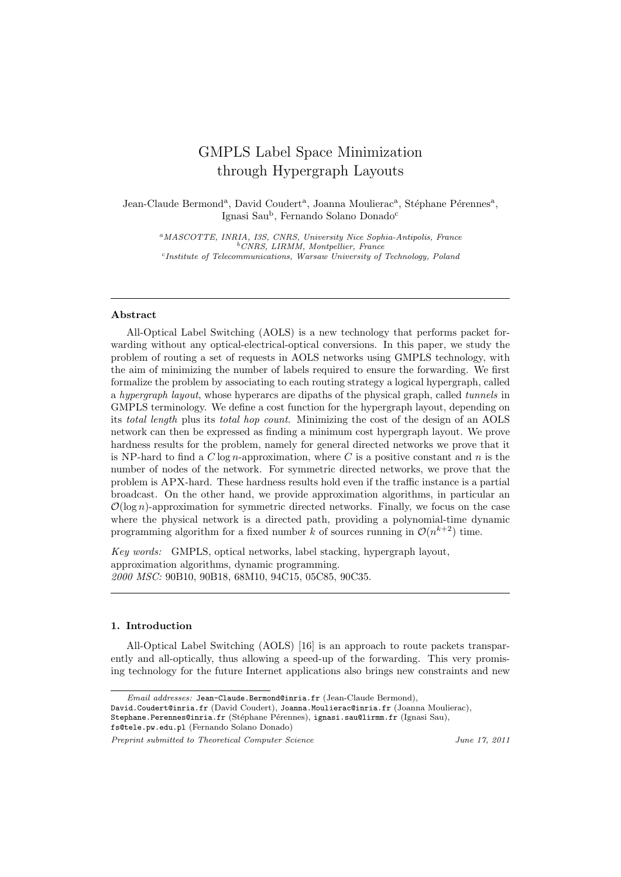# GMPLS Label Space Minimization through Hypergraph Layouts

Jean-Claude Bermond<sup>a</sup>, David Coudert<sup>a</sup>, Joanna Moulierac<sup>a</sup>, Stéphane Pérennes<sup>a</sup>, Ignasi Sau<sup>b</sup> , Fernando Solano Donado<sup>c</sup>

<sup>a</sup>*MASCOTTE, INRIA, I3S, CNRS, University Nice Sophia-Antipolis, France* <sup>b</sup>*CNRS, LIRMM, Montpellier, France* c *Institute of Telecommunications, Warsaw University of Technology, Poland*

#### Abstract

All-Optical Label Switching (AOLS) is a new technology that performs packet forwarding without any optical-electrical-optical conversions. In this paper, we study the problem of routing a set of requests in AOLS networks using GMPLS technology, with the aim of minimizing the number of labels required to ensure the forwarding. We first formalize the problem by associating to each routing strategy a logical hypergraph, called a hypergraph layout, whose hyperarcs are dipaths of the physical graph, called tunnels in GMPLS terminology. We define a cost function for the hypergraph layout, depending on its total length plus its total hop count. Minimizing the cost of the design of an AOLS network can then be expressed as finding a minimum cost hypergraph layout. We prove hardness results for the problem, namely for general directed networks we prove that it is NP-hard to find a  $C \log n$ -approximation, where C is a positive constant and n is the number of nodes of the network. For symmetric directed networks, we prove that the problem is APX-hard. These hardness results hold even if the traffic instance is a partial broadcast. On the other hand, we provide approximation algorithms, in particular an  $\mathcal{O}(\log n)$ -approximation for symmetric directed networks. Finally, we focus on the case where the physical network is a directed path, providing a polynomial-time dynamic programming algorithm for a fixed number k of sources running in  $\mathcal{O}(n^{k+2})$  time.

Key words: GMPLS, optical networks, label stacking, hypergraph layout, approximation algorithms, dynamic programming. 2000 MSC: 90B10, 90B18, 68M10, 94C15, 05C85, 90C35.

## 1. Introduction

All-Optical Label Switching (AOLS) [16] is an approach to route packets transparently and all-optically, thus allowing a speed-up of the forwarding. This very promising technology for the future Internet applications also brings new constraints and new

David.Coudert@inria.fr (David Coudert), Joanna.Moulierac@inria.fr (Joanna Moulierac),

fs@tele.pw.edu.pl (Fernando Solano Donado)

*Preprint submitted to Theoretical Computer Science June 17, 2011*

*Email addresses:* Jean-Claude.Bermond@inria.fr (Jean-Claude Bermond),

Stephane.Perennes@inria.fr (Stéphane Pérennes), ignasi.sau@lirmm.fr (Ignasi Sau),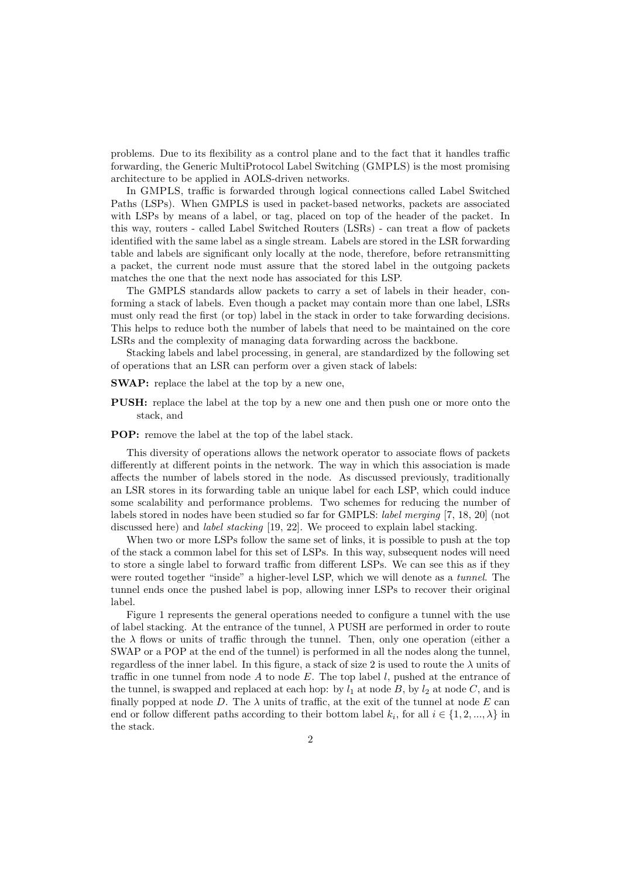problems. Due to its flexibility as a control plane and to the fact that it handles traffic forwarding, the Generic MultiProtocol Label Switching (GMPLS) is the most promising architecture to be applied in AOLS-driven networks.

In GMPLS, traffic is forwarded through logical connections called Label Switched Paths (LSPs). When GMPLS is used in packet-based networks, packets are associated with LSPs by means of a label, or tag, placed on top of the header of the packet. In this way, routers - called Label Switched Routers (LSRs) - can treat a flow of packets identified with the same label as a single stream. Labels are stored in the LSR forwarding table and labels are significant only locally at the node, therefore, before retransmitting a packet, the current node must assure that the stored label in the outgoing packets matches the one that the next node has associated for this LSP.

The GMPLS standards allow packets to carry a set of labels in their header, conforming a stack of labels. Even though a packet may contain more than one label, LSRs must only read the first (or top) label in the stack in order to take forwarding decisions. This helps to reduce both the number of labels that need to be maintained on the core LSRs and the complexity of managing data forwarding across the backbone.

Stacking labels and label processing, in general, are standardized by the following set of operations that an LSR can perform over a given stack of labels:

SWAP: replace the label at the top by a new one,

- PUSH: replace the label at the top by a new one and then push one or more onto the stack, and
- POP: remove the label at the top of the label stack.

This diversity of operations allows the network operator to associate flows of packets differently at different points in the network. The way in which this association is made affects the number of labels stored in the node. As discussed previously, traditionally an LSR stores in its forwarding table an unique label for each LSP, which could induce some scalability and performance problems. Two schemes for reducing the number of labels stored in nodes have been studied so far for GMPLS: label merging [7, 18, 20] (not discussed here) and label stacking [19, 22]. We proceed to explain label stacking.

When two or more LSPs follow the same set of links, it is possible to push at the top of the stack a common label for this set of LSPs. In this way, subsequent nodes will need to store a single label to forward traffic from different LSPs. We can see this as if they were routed together "inside" a higher-level LSP, which we will denote as a tunnel. The tunnel ends once the pushed label is pop, allowing inner LSPs to recover their original label.

Figure 1 represents the general operations needed to configure a tunnel with the use of label stacking. At the entrance of the tunnel,  $\lambda$  PUSH are performed in order to route the  $\lambda$  flows or units of traffic through the tunnel. Then, only one operation (either a SWAP or a POP at the end of the tunnel) is performed in all the nodes along the tunnel, regardless of the inner label. In this figure, a stack of size 2 is used to route the  $\lambda$  units of traffic in one tunnel from node  $A$  to node  $E$ . The top label  $l$ , pushed at the entrance of the tunnel, is swapped and replaced at each hop: by  $l_1$  at node B, by  $l_2$  at node C, and is finally popped at node D. The  $\lambda$  units of traffic, at the exit of the tunnel at node E can end or follow different paths according to their bottom label  $k_i$ , for all  $i \in \{1, 2, ..., \lambda\}$  in the stack.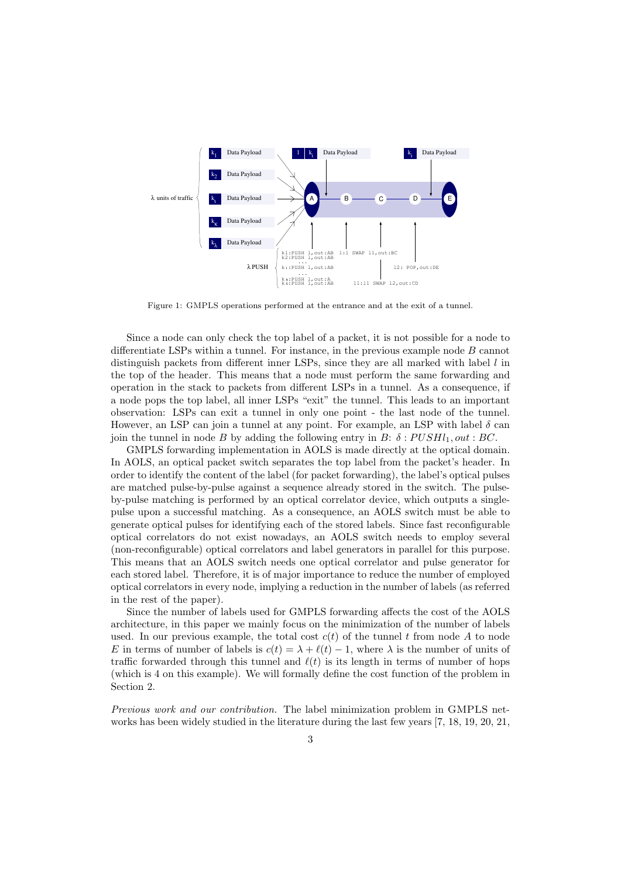

Figure 1: GMPLS operations performed at the entrance and at the exit of a tunnel.

Since a node can only check the top label of a packet, it is not possible for a node to differentiate LSPs within a tunnel. For instance, in the previous example node B cannot distinguish packets from different inner LSPs, since they are all marked with label l in the top of the header. This means that a node must perform the same forwarding and operation in the stack to packets from different LSPs in a tunnel. As a consequence, if a node pops the top label, all inner LSPs "exit" the tunnel. This leads to an important observation: LSPs can exit a tunnel in only one point - the last node of the tunnel. However, an LSP can join a tunnel at any point. For example, an LSP with label  $\delta$  can join the tunnel in node B by adding the following entry in B:  $\delta$ :  $PUSH_1$ , out: BC.

GMPLS forwarding implementation in AOLS is made directly at the optical domain. In AOLS, an optical packet switch separates the top label from the packet's header. In order to identify the content of the label (for packet forwarding), the label's optical pulses are matched pulse-by-pulse against a sequence already stored in the switch. The pulseby-pulse matching is performed by an optical correlator device, which outputs a singlepulse upon a successful matching. As a consequence, an AOLS switch must be able to generate optical pulses for identifying each of the stored labels. Since fast reconfigurable optical correlators do not exist nowadays, an AOLS switch needs to employ several (non-reconfigurable) optical correlators and label generators in parallel for this purpose. This means that an AOLS switch needs one optical correlator and pulse generator for each stored label. Therefore, it is of major importance to reduce the number of employed optical correlators in every node, implying a reduction in the number of labels (as referred in the rest of the paper).

Since the number of labels used for GMPLS forwarding affects the cost of the AOLS architecture, in this paper we mainly focus on the minimization of the number of labels used. In our previous example, the total cost  $c(t)$  of the tunnel t from node A to node E in terms of number of labels is  $c(t) = \lambda + \ell(t) - 1$ , where  $\lambda$  is the number of units of traffic forwarded through this tunnel and  $\ell(t)$  is its length in terms of number of hops (which is 4 on this example). We will formally define the cost function of the problem in Section 2.

Previous work and our contribution. The label minimization problem in GMPLS networks has been widely studied in the literature during the last few years [7, 18, 19, 20, 21,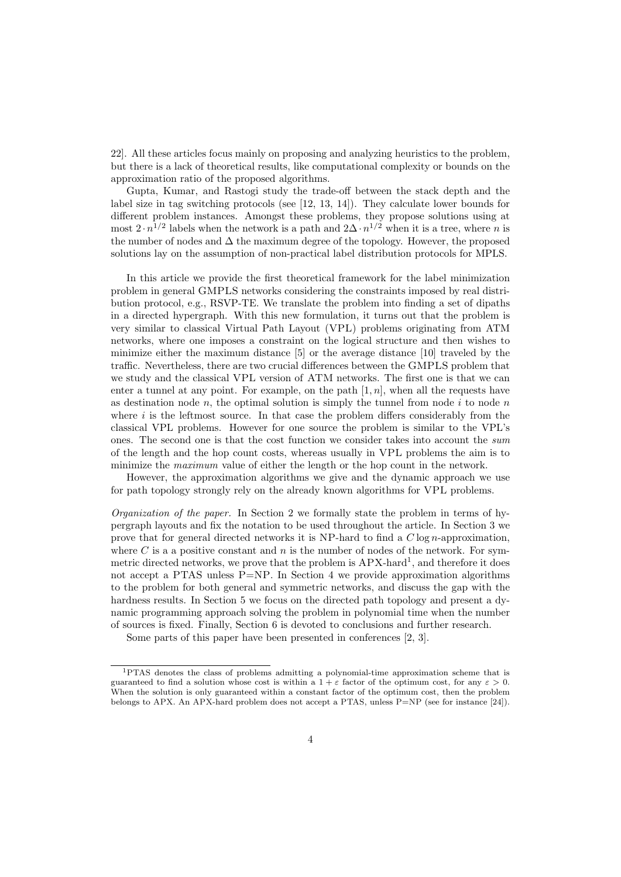22]. All these articles focus mainly on proposing and analyzing heuristics to the problem, but there is a lack of theoretical results, like computational complexity or bounds on the approximation ratio of the proposed algorithms.

Gupta, Kumar, and Rastogi study the trade-off between the stack depth and the label size in tag switching protocols (see [12, 13, 14]). They calculate lower bounds for different problem instances. Amongst these problems, they propose solutions using at most  $2 \cdot n^{1/2}$  labels when the network is a path and  $2\Delta \cdot n^{1/2}$  when it is a tree, where n is the number of nodes and  $\Delta$  the maximum degree of the topology. However, the proposed solutions lay on the assumption of non-practical label distribution protocols for MPLS.

In this article we provide the first theoretical framework for the label minimization problem in general GMPLS networks considering the constraints imposed by real distribution protocol, e.g., RSVP-TE. We translate the problem into finding a set of dipaths in a directed hypergraph. With this new formulation, it turns out that the problem is very similar to classical Virtual Path Layout (VPL) problems originating from ATM networks, where one imposes a constraint on the logical structure and then wishes to minimize either the maximum distance [5] or the average distance [10] traveled by the traffic. Nevertheless, there are two crucial differences between the GMPLS problem that we study and the classical VPL version of ATM networks. The first one is that we can enter a tunnel at any point. For example, on the path  $[1, n]$ , when all the requests have as destination node n, the optimal solution is simply the tunnel from node i to node n where  $i$  is the leftmost source. In that case the problem differs considerably from the classical VPL problems. However for one source the problem is similar to the VPL's ones. The second one is that the cost function we consider takes into account the sum of the length and the hop count costs, whereas usually in VPL problems the aim is to minimize the maximum value of either the length or the hop count in the network.

However, the approximation algorithms we give and the dynamic approach we use for path topology strongly rely on the already known algorithms for VPL problems.

*Organization of the paper.* In Section 2 we formally state the problem in terms of hypergraph layouts and fix the notation to be used throughout the article. In Section 3 we prove that for general directed networks it is NP-hard to find a  $C \log n$ -approximation, where  $C$  is a a positive constant and  $n$  is the number of nodes of the network. For symmetric directed networks, we prove that the problem is APX-hard<sup>1</sup>, and therefore it does not accept a PTAS unless P=NP. In Section 4 we provide approximation algorithms to the problem for both general and symmetric networks, and discuss the gap with the hardness results. In Section 5 we focus on the directed path topology and present a dynamic programming approach solving the problem in polynomial time when the number of sources is fixed. Finally, Section 6 is devoted to conclusions and further research.

Some parts of this paper have been presented in conferences [2, 3].

<sup>1</sup>PTAS denotes the class of problems admitting a polynomial-time approximation scheme that is guaranteed to find a solution whose cost is within a  $1 + \varepsilon$  factor of the optimum cost, for any  $\varepsilon > 0$ . When the solution is only guaranteed within a constant factor of the optimum cost, then the problem belongs to APX. An APX-hard problem does not accept a PTAS, unless P=NP (see for instance [24]).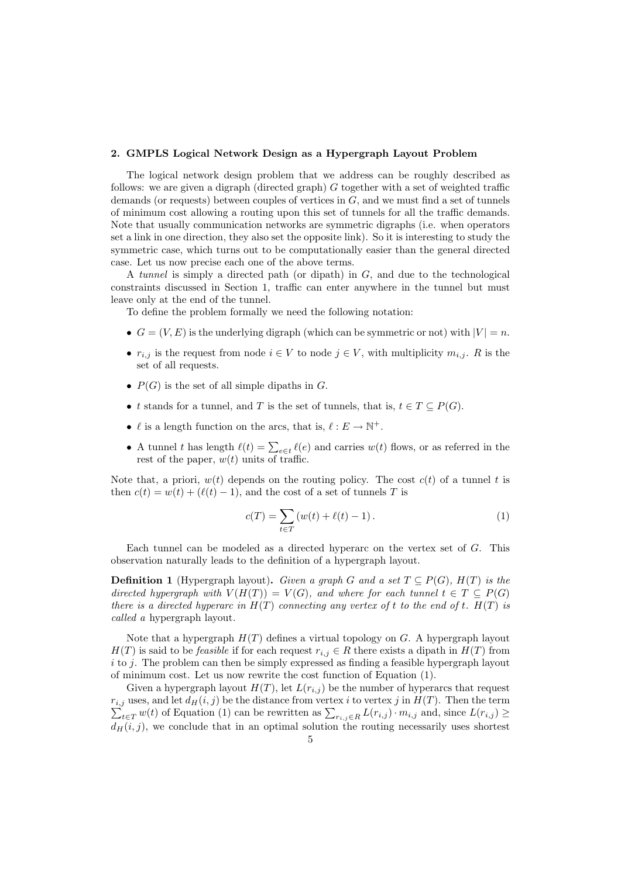### 2. GMPLS Logical Network Design as a Hypergraph Layout Problem

The logical network design problem that we address can be roughly described as follows: we are given a digraph (directed graph)  $G$  together with a set of weighted traffic demands (or requests) between couples of vertices in  $G$ , and we must find a set of tunnels of minimum cost allowing a routing upon this set of tunnels for all the traffic demands. Note that usually communication networks are symmetric digraphs (i.e. when operators set a link in one direction, they also set the opposite link). So it is interesting to study the symmetric case, which turns out to be computationally easier than the general directed case. Let us now precise each one of the above terms.

A tunnel is simply a directed path (or dipath) in G, and due to the technological constraints discussed in Section 1, traffic can enter anywhere in the tunnel but must leave only at the end of the tunnel.

To define the problem formally we need the following notation:

- $G = (V, E)$  is the underlying digraph (which can be symmetric or not) with  $|V| = n$ .
- $r_{i,j}$  is the request from node  $i \in V$  to node  $j \in V$ , with multiplicity  $m_{i,j}$ . R is the set of all requests.
- $P(G)$  is the set of all simple dipaths in G.
- t stands for a tunnel, and T is the set of tunnels, that is,  $t \in T \subseteq P(G)$ .
- $\ell$  is a length function on the arcs, that is,  $\ell : E \to \mathbb{N}^+$ .
- A tunnel t has length  $\ell(t) = \sum_{e \in t} \ell(e)$  and carries  $w(t)$  flows, or as referred in the rest of the paper,  $w(t)$  units of traffic.

Note that, a priori,  $w(t)$  depends on the routing policy. The cost  $c(t)$  of a tunnel t is then  $c(t) = w(t) + (\ell(t) - 1)$ , and the cost of a set of tunnels T is

$$
c(T) = \sum_{t \in T} (w(t) + \ell(t) - 1).
$$
 (1)

Each tunnel can be modeled as a directed hyperarc on the vertex set of G. This observation naturally leads to the definition of a hypergraph layout.

**Definition 1** (Hypergraph layout). Given a graph G and a set  $T \subseteq P(G)$ ,  $H(T)$  is the directed hypergraph with  $V(H(T)) = V(G)$ , and where for each tunnel  $t \in T \subseteq P(G)$ there is a directed hyperarc in  $H(T)$  connecting any vertex of t to the end of t.  $H(T)$  is called a hypergraph layout.

Note that a hypergraph  $H(T)$  defines a virtual topology on G. A hypergraph layout  $H(T)$  is said to be *feasible* if for each request  $r_{i,j} \in R$  there exists a dipath in  $H(T)$  from  $i$  to j. The problem can then be simply expressed as finding a feasible hypergraph layout of minimum cost. Let us now rewrite the cost function of Equation (1).

Given a hypergraph layout  $H(T)$ , let  $L(r_{i,j})$  be the number of hyperarcs that request  $r_{i,j}$  uses, and let  $d_H(i,j)$  be the distance from vertex i to vertex j in  $H(T)$ . Then the term  $\sum_{t \in T} w(t)$  of Equation (1) can be rewritten as  $\sum_{r_{i,j} \in R} L(r_{i,j}) \cdot m_{i,j}$  and, since  $L(r_{i,j}) \ge$  $d_H(i, j)$ , we conclude that in an optimal solution the routing necessarily uses shortest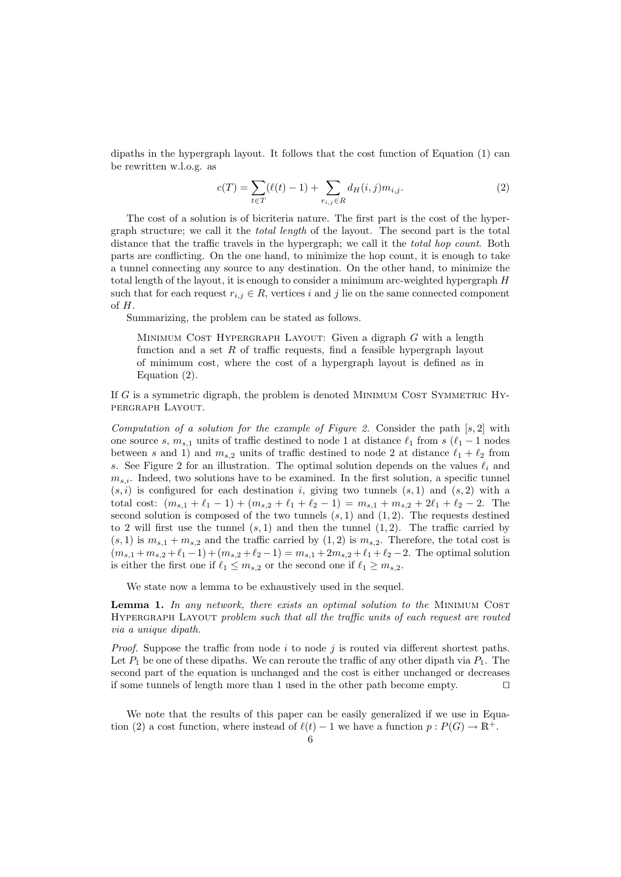dipaths in the hypergraph layout. It follows that the cost function of Equation (1) can be rewritten w.l.o.g. as

$$
c(T) = \sum_{t \in T} (\ell(t) - 1) + \sum_{r_{i,j} \in R} d_H(i,j) m_{i,j}.
$$
 (2)

The cost of a solution is of bicriteria nature. The first part is the cost of the hypergraph structure; we call it the total length of the layout. The second part is the total distance that the traffic travels in the hypergraph; we call it the total hop count. Both parts are conflicting. On the one hand, to minimize the hop count, it is enough to take a tunnel connecting any source to any destination. On the other hand, to minimize the total length of the layout, it is enough to consider a minimum arc-weighted hypergraph H such that for each request  $r_{i,j} \in R$ , vertices i and j lie on the same connected component  $of H.$ 

Summarizing, the problem can be stated as follows.

MINIMUM COST HYPERGRAPH LAYOUT: Given a digraph  $G$  with a length function and a set R of traffic requests, find a feasible hypergraph layout of minimum cost, where the cost of a hypergraph layout is defined as in Equation (2).

If G is a symmetric digraph, the problem is denoted MINIMUM COST SYMMETRIC HYpergraph Layout.

Computation of a solution for the example of Figure 2. Consider the path  $[s, 2]$  with one source s,  $m_{s,1}$  units of traffic destined to node 1 at distance  $\ell_1$  from s ( $\ell_1 - 1$  nodes between s and 1) and  $m_{s,2}$  units of traffic destined to node 2 at distance  $\ell_1 + \ell_2$  from s. See Figure 2 for an illustration. The optimal solution depends on the values  $\ell_i$  and  $m_{s,i}$ . Indeed, two solutions have to be examined. In the first solution, a specific tunnel  $(s, i)$  is configured for each destination i, giving two tunnels  $(s, 1)$  and  $(s, 2)$  with a total cost:  $(m_{s,1} + \ell_1 - 1) + (m_{s,2} + \ell_1 + \ell_2 - 1) = m_{s,1} + m_{s,2} + 2\ell_1 + \ell_2 - 2$ . The second solution is composed of the two tunnels  $(s, 1)$  and  $(1, 2)$ . The requests destined to 2 will first use the tunnel  $(s, 1)$  and then the tunnel  $(1, 2)$ . The traffic carried by  $(s, 1)$  is  $m_{s,1} + m_{s,2}$  and the traffic carried by  $(1, 2)$  is  $m_{s,2}$ . Therefore, the total cost is  $(m_{s,1} + m_{s,2} + \ell_1 - 1) + (m_{s,2} + \ell_2 - 1) = m_{s,1} + 2m_{s,2} + \ell_1 + \ell_2 - 2$ . The optimal solution is either the first one if  $\ell_1 \leq m_{s,2}$  or the second one if  $\ell_1 \geq m_{s,2}$ .

We state now a lemma to be exhaustively used in the sequel.

**Lemma 1.** In any network, there exists an optimal solution to the MINIMUM COST HYPERGRAPH LAYOUT problem such that all the traffic units of each request are routed via a unique dipath.

*Proof.* Suppose the traffic from node i to node j is routed via different shortest paths. Let  $P_1$  be one of these dipaths. We can reroute the traffic of any other dipath via  $P_1$ . The second part of the equation is unchanged and the cost is either unchanged or decreases if some tunnels of length more than 1 used in the other path become empty. ⊓⊔

We note that the results of this paper can be easily generalized if we use in Equation (2) a cost function, where instead of  $\ell(t) - 1$  we have a function  $p : P(G) \to \mathbb{R}^+$ .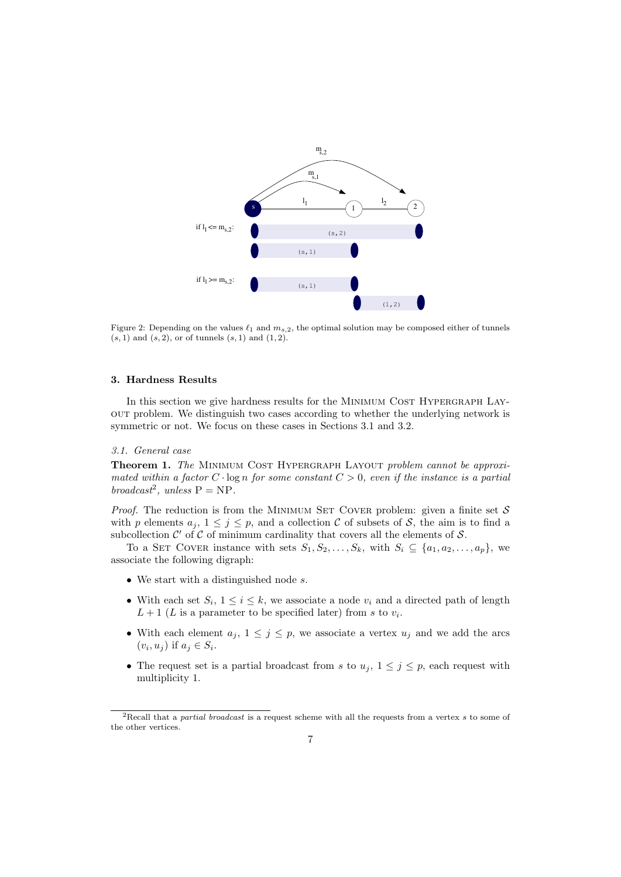

Figure 2: Depending on the values  $\ell_1$  and  $m_{s,2}$ , the optimal solution may be composed either of tunnels  $(s, 1)$  and  $(s, 2)$ , or of tunnels  $(s, 1)$  and  $(1, 2)$ .

### 3. Hardness Results

In this section we give hardness results for the MINIMUM COST HYPERGRAPH LAYout problem. We distinguish two cases according to whether the underlying network is symmetric or not. We focus on these cases in Sections 3.1 and 3.2.

# 3.1. General case

Theorem 1. The MINIMUM COST HYPERGRAPH LAYOUT problem cannot be approximated within a factor  $C \cdot \log n$  for some constant  $C > 0$ , even if the instance is a partial broadcast<sup>2</sup>, unless  $P = NP$ .

*Proof.* The reduction is from the MINIMUM SET COVER problem: given a finite set  $S$ with p elements  $a_j$ ,  $1 \leq j \leq p$ , and a collection C of subsets of S, the aim is to find a subcollection  $\mathcal{C}'$  of  $\mathcal C$  of minimum cardinality that covers all the elements of  $\mathcal S$ .

To a SET COVER instance with sets  $S_1, S_2, \ldots, S_k$ , with  $S_i \subseteq \{a_1, a_2, \ldots, a_p\}$ , we associate the following digraph:

- We start with a distinguished node s.
- With each set  $S_i$ ,  $1 \leq i \leq k$ , we associate a node  $v_i$  and a directed path of length  $L+1$  (L is a parameter to be specified later) from s to  $v_i$ .
- With each element  $a_j, 1 \leq j \leq p$ , we associate a vertex  $u_j$  and we add the arcs  $(v_i, u_j)$  if  $a_j \in S_i$ .
- The request set is a partial broadcast from s to  $u_j$ ,  $1 \leq j \leq p$ , each request with multiplicity 1.

<sup>2</sup>Recall that a *partial broadcast* is a request scheme with all the requests from a vertex s to some of the other vertices.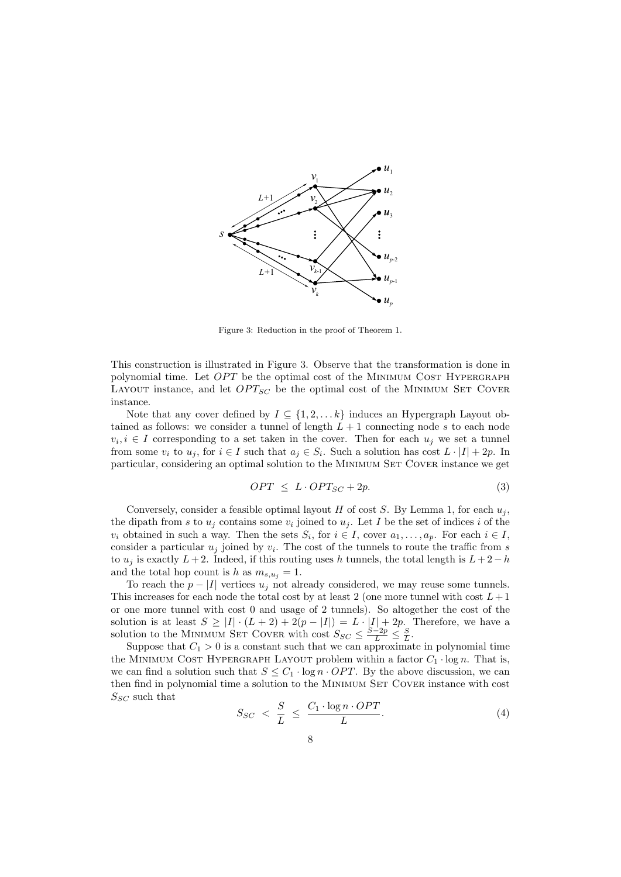

Figure 3: Reduction in the proof of Theorem 1.

This construction is illustrated in Figure 3. Observe that the transformation is done in polynomial time. Let  $OPT$  be the optimal cost of the MINIMUM COST HYPERGRAPH LAYOUT instance, and let  $OPT_{SC}$  be the optimal cost of the MINIMUM SET COVER instance.

Note that any cover defined by  $I \subseteq \{1, 2, \ldots k\}$  induces an Hypergraph Layout obtained as follows: we consider a tunnel of length  $L + 1$  connecting node s to each node  $v_i, i \in I$  corresponding to a set taken in the cover. Then for each  $u_j$  we set a tunnel from some  $v_i$  to  $u_j$ , for  $i \in I$  such that  $a_j \in S_i$ . Such a solution has cost  $L \cdot |I| + 2p$ . In particular, considering an optimal solution to the MINIMUM SET COVER instance we get

$$
OPT \le L \cdot OPT_{SC} + 2p. \tag{3}
$$

Conversely, consider a feasible optimal layout H of cost S. By Lemma 1, for each  $u_i$ , the dipath from s to  $u_i$  contains some  $v_i$  joined to  $u_i$ . Let I be the set of indices i of the  $v_i$  obtained in such a way. Then the sets  $S_i$ , for  $i \in I$ , cover  $a_1, \ldots, a_p$ . For each  $i \in I$ , consider a particular  $u_j$  joined by  $v_i$ . The cost of the tunnels to route the traffic from s to  $u_j$  is exactly  $L + 2$ . Indeed, if this routing uses h tunnels, the total length is  $L + 2 - h$ and the total hop count is h as  $m_{s,u_i} = 1$ .

To reach the  $p - |I|$  vertices  $u_j$  not already considered, we may reuse some tunnels. This increases for each node the total cost by at least 2 (one more tunnel with cost  $L+1$ or one more tunnel with cost 0 and usage of 2 tunnels). So altogether the cost of the solution is at least  $S \geq |I| \cdot (L+2) + 2(p-|I|) = L \cdot |I| + 2p$ . Therefore, we have a solution to the MINIMUM SET COVER with cost  $S_{SC} \leq \frac{S-2p}{L} \leq \frac{S}{L}$ .

Suppose that  $C_1 > 0$  is a constant such that we can approximate in polynomial time the MINIMUM COST HYPERGRAPH LAYOUT problem within a factor  $C_1 \cdot \log n$ . That is, we can find a solution such that  $S \leq C_1 \cdot \log n \cdot OPT$ . By the above discussion, we can then find in polynomial time a solution to the MINIMUM SET COVER instance with cost  $S_{SC}$  such that

$$
S_{SC} < \frac{S}{L} \leq \frac{C_1 \cdot \log n \cdot OPT}{L}.\tag{4}
$$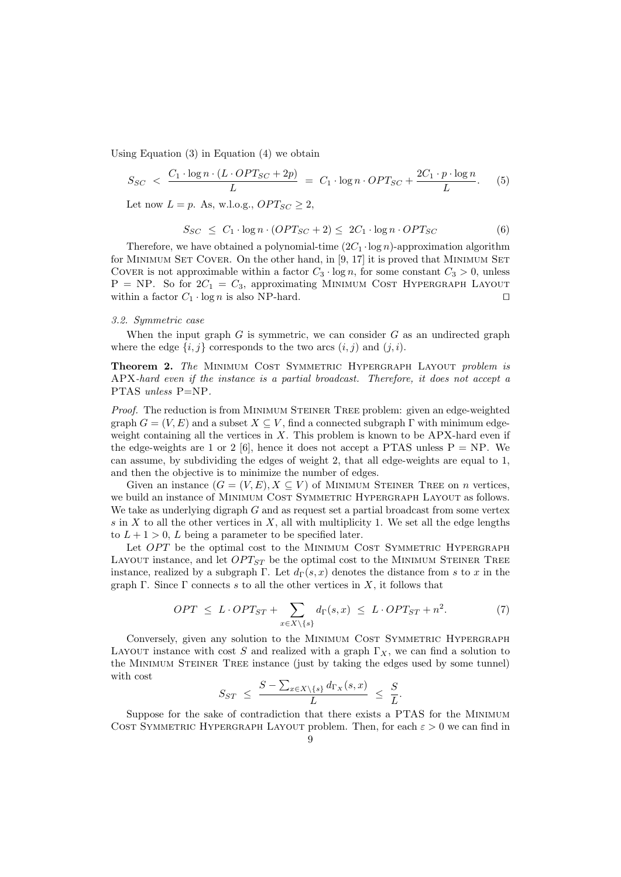Using Equation  $(3)$  in Equation  $(4)$  we obtain

$$
S_{SC} < \frac{C_1 \cdot \log n \cdot (L \cdot OPT_{SC} + 2p)}{L} = C_1 \cdot \log n \cdot OPT_{SC} + \frac{2C_1 \cdot p \cdot \log n}{L}.\tag{5}
$$

Let now  $L = p$ . As, w.l.o.g.,  $OPT_{SC} \geq 2$ ,

$$
S_{SC} \leq C_1 \cdot \log n \cdot (OPT_{SC} + 2) \leq 2C_1 \cdot \log n \cdot OPT_{SC}
$$
 (6)

Therefore, we have obtained a polynomial-time  $(2C_1 \cdot \log n)$ -approximation algorithm for MINIMUM SET COVER. On the other hand, in [9, 17] it is proved that MINIMUM SET COVER is not approximable within a factor  $C_3 \cdot \log n$ , for some constant  $C_3 > 0$ , unless  $P = NP$ . So for  $2C_1 = C_3$ , approximating MINIMUM COST HYPERGRAPH LAYOUT within a factor  $C_1 \cdot \log n$  is also NP-hard. □

#### 3.2. Symmetric case

When the input graph  $G$  is symmetric, we can consider  $G$  as an undirected graph where the edge  $\{i, j\}$  corresponds to the two arcs  $(i, j)$  and  $(j, i)$ .

Theorem 2. The MINIMUM COST SYMMETRIC HYPERGRAPH LAYOUT problem is APX-hard even if the instance is a partial broadcast. Therefore, it does not accept a PTAS unless P=NP.

Proof. The reduction is from MINIMUM STEINER TREE problem: given an edge-weighted graph  $G = (V, E)$  and a subset  $X \subseteq V$ , find a connected subgraph  $\Gamma$  with minimum edgeweight containing all the vertices in  $X$ . This problem is known to be APX-hard even if the edge-weights are 1 or 2 [6], hence it does not accept a PTAS unless  $P = NP$ . We can assume, by subdividing the edges of weight 2, that all edge-weights are equal to 1, and then the objective is to minimize the number of edges.

Given an instance  $(G = (V, E), X \subseteq V)$  of MINIMUM STEINER TREE on *n* vertices, we build an instance of MINIMUM COST SYMMETRIC HYPERGRAPH LAYOUT as follows. We take as underlying digraph G and as request set a partial broadcast from some vertex s in X to all the other vertices in X, all with multiplicity 1. We set all the edge lengths to  $L + 1 > 0$ , L being a parameter to be specified later.

Let  $OPT$  be the optimal cost to the MINIMUM COST SYMMETRIC HYPERGRAPH LAYOUT instance, and let  $OPT_{ST}$  be the optimal cost to the MINIMUM STEINER TREE instance, realized by a subgraph Γ. Let  $d<sub>\Gamma</sub>(s, x)$  denotes the distance from s to x in the graph Γ. Since Γ connects s to all the other vertices in X, it follows that

$$
OPT \le L \cdot OPT_{ST} + \sum_{x \in X \setminus \{s\}} d_{\Gamma}(s, x) \le L \cdot OPT_{ST} + n^2. \tag{7}
$$

Conversely, given any solution to the MINIMUM COST SYMMETRIC HYPERGRAPH LAYOUT instance with cost S and realized with a graph  $\Gamma_X$ , we can find a solution to the MINIMUM STEINER TREE instance (just by taking the edges used by some tunnel) with cost

$$
S_{ST} \leq \frac{S - \sum_{x \in X \setminus \{s\}} d_{\Gamma_X}(s, x)}{L} \leq \frac{S}{L}.
$$

Suppose for the sake of contradiction that there exists a PTAS for the Minimum COST SYMMETRIC HYPERGRAPH LAYOUT problem. Then, for each  $\varepsilon > 0$  we can find in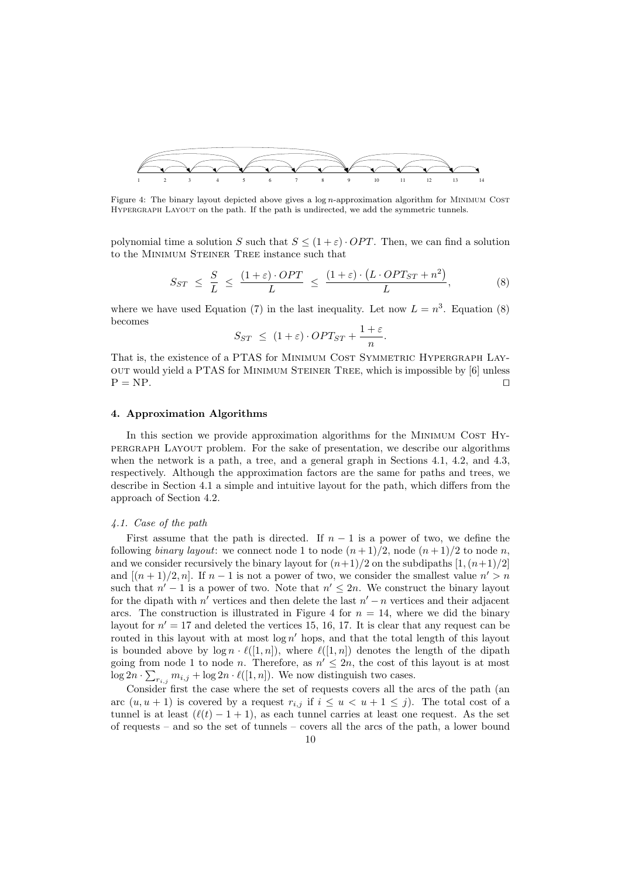

Figure 4: The binary layout depicted above gives a  $\log n$ -approximation algorithm for MINIMUM COST HYPERGRAPH LAYOUT on the path. If the path is undirected, we add the symmetric tunnels.

polynomial time a solution S such that  $S \leq (1+\varepsilon) \cdot OPT$ . Then, we can find a solution to the Minimum Steiner Tree instance such that

$$
S_{ST} \leq \frac{S}{L} \leq \frac{(1+\varepsilon) \cdot OPT}{L} \leq \frac{(1+\varepsilon) \cdot (L \cdot OPT_{ST} + n^2)}{L}, \tag{8}
$$

where we have used Equation (7) in the last inequality. Let now  $L = n^3$ . Equation (8) becomes

$$
S_{ST} \le (1+\varepsilon) \cdot OPT_{ST} + \frac{1+\varepsilon}{n}.
$$

That is, the existence of a PTAS for MINIMUM COST SYMMETRIC HYPERGRAPH LAYout would yield a PTAS for Minimum Steiner Tree, which is impossible by [6] unless  $P = NP.$ 

#### 4. Approximation Algorithms

In this section we provide approximation algorithms for the MINIMUM COST HYpergraph Layout problem. For the sake of presentation, we describe our algorithms when the network is a path, a tree, and a general graph in Sections 4.1, 4.2, and 4.3, respectively. Although the approximation factors are the same for paths and trees, we describe in Section 4.1 a simple and intuitive layout for the path, which differs from the approach of Section 4.2.

### 4.1. Case of the path

First assume that the path is directed. If  $n-1$  is a power of two, we define the following binary layout: we connect node 1 to node  $(n+1)/2$ , node  $(n+1)/2$  to node n, and we consider recursively the binary layout for  $(n+1)/2$  on the subdipaths  $[1,(n+1)/2]$ and  $[(n+1)/2, n]$ . If  $n-1$  is not a power of two, we consider the smallest value  $n' > n$ such that  $n' - 1$  is a power of two. Note that  $n' \leq 2n$ . We construct the binary layout for the dipath with  $n'$  vertices and then delete the last  $n'-n$  vertices and their adjacent arcs. The construction is illustrated in Figure 4 for  $n = 14$ , where we did the binary layout for  $n' = 17$  and deleted the vertices 15, 16, 17. It is clear that any request can be routed in this layout with at most  $\log n'$  hops, and that the total length of this layout is bounded above by  $\log n \cdot \ell([1, n])$ , where  $\ell([1, n])$  denotes the length of the dipath going from node 1 to node *n*. Therefore, as  $n' \leq 2n$ , the cost of this layout is at most  $\log 2n \cdot \sum_{r_{i,j}} m_{i,j} + \log 2n \cdot \ell([1, n])$ . We now distinguish two cases.

Consider first the case where the set of requests covers all the arcs of the path (an arc  $(u, u + 1)$  is covered by a request  $r_{i,j}$  if  $i \leq u < u + 1 \leq j$ . The total cost of a tunnel is at least  $(\ell(t) - 1 + 1)$ , as each tunnel carries at least one request. As the set of requests – and so the set of tunnels – covers all the arcs of the path, a lower bound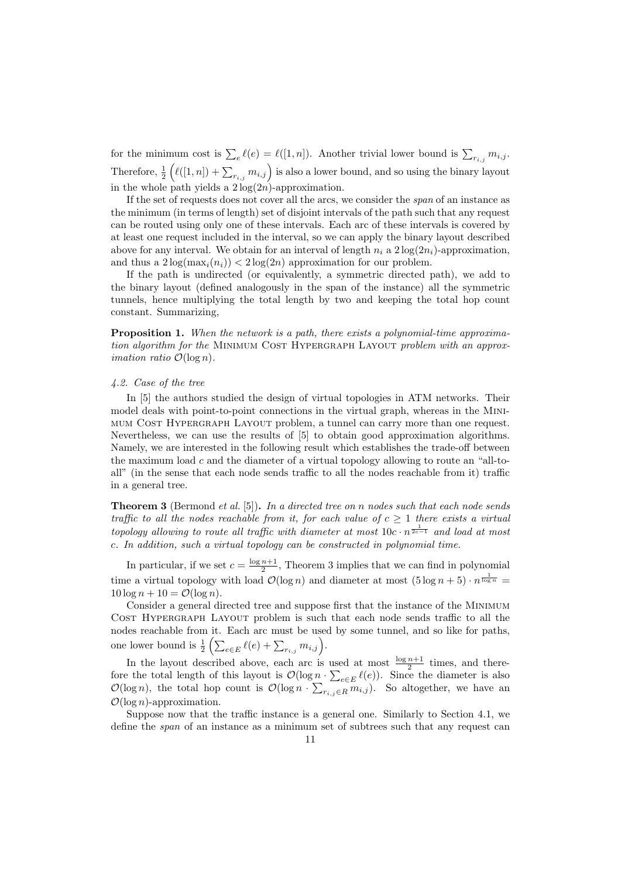for the minimum cost is  $\sum_{e} \ell(e) = \ell([1, n])$ . Another trivial lower bound is  $\sum_{r_{i,j}} m_{i,j}$ . Therefore,  $\frac{1}{2}\left(\ell([1,n]) + \sum_{r_{i,j}} m_{i,j}\right)$  is also a lower bound, and so using the binary layout in the whole path yields a  $2 \log(2n)$ -approximation.

If the set of requests does not cover all the arcs, we consider the span of an instance as the minimum (in terms of length) set of disjoint intervals of the path such that any request can be routed using only one of these intervals. Each arc of these intervals is covered by at least one request included in the interval, so we can apply the binary layout described above for any interval. We obtain for an interval of length  $n_i$  a  $2\log(2n_i)$ -approximation, and thus a  $2\log(\max_i(n_i)) < 2\log(2n)$  approximation for our problem.

If the path is undirected (or equivalently, a symmetric directed path), we add to the binary layout (defined analogously in the span of the instance) all the symmetric tunnels, hence multiplying the total length by two and keeping the total hop count constant. Summarizing,

Proposition 1. When the network is a path, there exists a polynomial-time approximation algorithm for the MINIMUM COST HYPERGRAPH LAYOUT problem with an approx*imation ratio*  $\mathcal{O}(\log n)$ .

## 4.2. Case of the tree

In [5] the authors studied the design of virtual topologies in ATM networks. Their model deals with point-to-point connections in the virtual graph, whereas in the MINImum Cost Hypergraph Layout problem, a tunnel can carry more than one request. Nevertheless, we can use the results of [5] to obtain good approximation algorithms. Namely, we are interested in the following result which establishes the trade-off between the maximum load c and the diameter of a virtual topology allowing to route an "all-toall" (in the sense that each node sends traffic to all the nodes reachable from it) traffic in a general tree.

**Theorem 3** (Bermond *et al.* [5]). In a directed tree on n nodes such that each node sends traffic to all the nodes reachable from it, for each value of  $c \geq 1$  there exists a virtual topology allowing to route all traffic with diameter at most  $10c \cdot n^{\frac{1}{2c-1}}$  and load at most c. In addition, such a virtual topology can be constructed in polynomial time.

In particular, if we set  $c = \frac{\log n + 1}{2}$ , Theorem 3 implies that we can find in polynomial time a virtual topology with load  $\mathcal{O}(\log n)$  and diameter at most  $(5 \log n + 5) \cdot n^{\frac{1}{\log n}} =$  $10 \log n + 10 = \mathcal{O}(\log n)$ .

Consider a general directed tree and suppose first that the instance of the Minimum Cost Hypergraph Layout problem is such that each node sends traffic to all the nodes reachable from it. Each arc must be used by some tunnel, and so like for paths, one lower bound is  $\frac{1}{2} \left( \sum_{e \in E} \ell(e) + \sum_{r_{i,j}} m_{i,j} \right)$ .

In the layout described above, each arc is used at most  $\frac{\log n+1}{2}$  times, and therefore the total length of this layout is  $\mathcal{O}(\log n \cdot \sum_{e \in E} \ell(e))$ . Since the diameter is also  $\mathcal{O}(\log n)$ , the total hop count is  $\mathcal{O}(\log n \cdot \sum_{r_{i,j} \in R} m_{i,j})$ . So altogether, we have an  $\mathcal{O}(\log n)$ -approximation.

Suppose now that the traffic instance is a general one. Similarly to Section 4.1, we define the span of an instance as a minimum set of subtrees such that any request can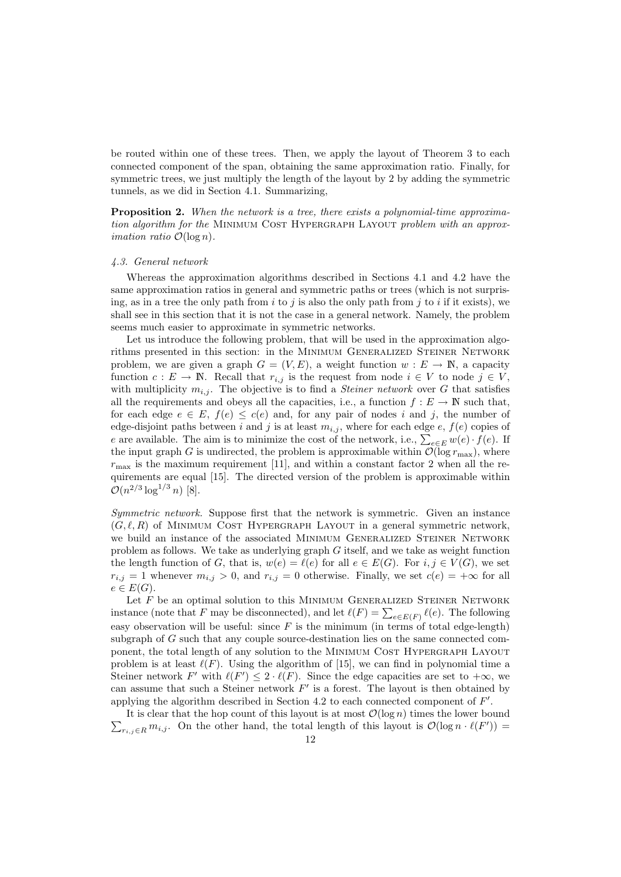be routed within one of these trees. Then, we apply the layout of Theorem 3 to each connected component of the span, obtaining the same approximation ratio. Finally, for symmetric trees, we just multiply the length of the layout by 2 by adding the symmetric tunnels, as we did in Section 4.1. Summarizing,

Proposition 2. When the network is a tree, there exists a polynomial-time approximation algorithm for the MINIMUM COST HYPERGRAPH LAYOUT problem with an approx*imation ratio*  $\mathcal{O}(\log n)$ .

#### 4.3. General network

Whereas the approximation algorithms described in Sections 4.1 and 4.2 have the same approximation ratios in general and symmetric paths or trees (which is not surprising, as in a tree the only path from  $i$  to  $j$  is also the only path from  $j$  to  $i$  if it exists), we shall see in this section that it is not the case in a general network. Namely, the problem seems much easier to approximate in symmetric networks.

Let us introduce the following problem, that will be used in the approximation algorithms presented in this section: in the Minimum Generalized Steiner Network problem, we are given a graph  $G = (V, E)$ , a weight function  $w : E \to \mathbb{N}$ , a capacity function  $c: E \to \mathbb{N}$ . Recall that  $r_{i,j}$  is the request from node  $i \in V$  to node  $j \in V$ , with multiplicity  $m_{i,j}$ . The objective is to find a *Steiner network* over G that satisfies all the requirements and obeys all the capacities, i.e., a function  $f : E \to \mathbb{N}$  such that, for each edge  $e \in E$ ,  $f(e) \leq c(e)$  and, for any pair of nodes i and j, the number of edge-disjoint paths between i and j is at least  $m_{i,j}$ , where for each edge e,  $f(e)$  copies of e are available. The aim is to minimize the cost of the network, i.e.,  $\sum_{e \in E} w(e) \cdot f(e)$ . If the input graph G is undirected, the problem is approximable within  $\mathcal{O}(\log r_{\max})$ , where  $r_{\text{max}}$  is the maximum requirement [11], and within a constant factor 2 when all the requirements are equal [15]. The directed version of the problem is approximable within  $\mathcal{O}(n^{2/3} \log^{1/3} n)$  [8].

Symmetric network. Suppose first that the network is symmetric. Given an instance  $(G, \ell, R)$  of MINIMUM COST HYPERGRAPH LAYOUT in a general symmetric network, we build an instance of the associated MINIMUM GENERALIZED STEINER NETWORK problem as follows. We take as underlying graph G itself, and we take as weight function the length function of G, that is,  $w(e) = \ell(e)$  for all  $e \in E(G)$ . For  $i, j \in V(G)$ , we set  $r_{i,j} = 1$  whenever  $m_{i,j} > 0$ , and  $r_{i,j} = 0$  otherwise. Finally, we set  $c(e) = +\infty$  for all  $e \in E(G)$ .

Let  $F$  be an optimal solution to this MINIMUM GENERALIZED STEINER NETWORK instance (note that F may be disconnected), and let  $\ell(F) = \sum_{e \in E(F)} \ell(e)$ . The following easy observation will be useful: since  $F$  is the minimum (in terms of total edge-length) subgraph of G such that any couple source-destination lies on the same connected component, the total length of any solution to the Minimum Cost Hypergraph Layout problem is at least  $\ell(F)$ . Using the algorithm of [15], we can find in polynomial time a Steiner network F' with  $\ell(F') \leq 2 \cdot \ell(F)$ . Since the edge capacities are set to  $+\infty$ , we can assume that such a Steiner network  $F'$  is a forest. The layout is then obtained by applying the algorithm described in Section 4.2 to each connected component of  $F'$ .

 $\sum_{r_{i,j}\in R} m_{i,j}$ . On the other hand, the total length of this layout is  $\mathcal{O}(\log n \cdot \ell(F'))$ It is clear that the hop count of this layout is at most  $\mathcal{O}(\log n)$  times the lower bound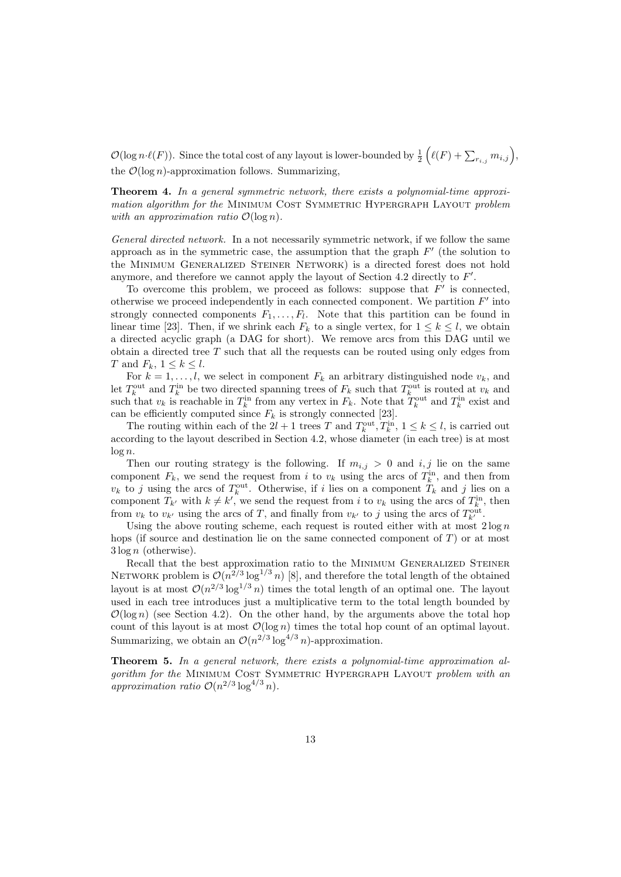$\mathcal{O}(\log n \cdot \ell(F))$ . Since the total cost of any layout is lower-bounded by  $\frac{1}{2} \left( \ell(F) + \sum_{r_{i,j}} m_{i,j} \right)$ , the  $\mathcal{O}(\log n)$ -approximation follows. Summarizing,

Theorem 4. In a general symmetric network, there exists a polynomial-time approximation algorithm for the MINIMUM COST SYMMETRIC HYPERGRAPH LAYOUT problem with an approximation ratio  $\mathcal{O}(\log n)$ .

General directed network. In a not necessarily symmetric network, if we follow the same approach as in the symmetric case, the assumption that the graph  $F'$  (the solution to the Minimum Generalized Steiner Network) is a directed forest does not hold anymore, and therefore we cannot apply the layout of Section 4.2 directly to  $F'$ .

To overcome this problem, we proceed as follows: suppose that  $F'$  is connected, otherwise we proceed independently in each connected component. We partition  $F'$  into strongly connected components  $F_1, \ldots, F_l$ . Note that this partition can be found in linear time [23]. Then, if we shrink each  $F_k$  to a single vertex, for  $1 \leq k \leq l$ , we obtain a directed acyclic graph (a DAG for short). We remove arcs from this DAG until we obtain a directed tree  $T$  such that all the requests can be routed using only edges from T and  $F_k$ ,  $1 \leq k \leq l$ .

For  $k = 1, \ldots, l$ , we select in component  $F_k$  an arbitrary distinguished node  $v_k$ , and let  $T_k^{\text{out}}$  and  $T_k^{\text{in}}$  be two directed spanning trees of  $F_k$  such that  $T_k^{\text{out}}$  is routed at  $v_k$  and such that  $v_k$  is reachable in  $T_k^{\text{in}}$  from any vertex in  $F_k$ . Note that  $T_k^{\text{out}}$  and  $T_k^{\text{in}}$  exist and can be efficiently computed since  $F_k$  is strongly connected [23].

The routing within each of the  $2l + 1$  trees T and  $T_k^{\text{out}}, T_k^{\text{in}}, 1 \le k \le l$ , is carried out according to the layout described in Section 4.2, whose diameter (in each tree) is at most  $\log n$ .

Then our routing strategy is the following. If  $m_{i,j} > 0$  and  $i, j$  lie on the same component  $F_k$ , we send the request from i to  $v_k$  using the arcs of  $T_k^{\text{in}}$ , and then from  $v_k$  to j using the arcs of  $T_k^{\text{out}}$ . Otherwise, if i lies on a component  $T_k$  and j lies on a component  $T_{k'}$  with  $k \neq k'$ , we send the request from i to  $v_k$  using the arcs of  $T_{k}^{in}$ , then from  $v_k$  to  $v_{k'}$  using the arcs of T, and finally from  $v_{k'}$  to j using the arcs of  $T_{k'}^{\text{out}}$ .

Using the above routing scheme, each request is routed either with at most  $2 \log n$ hops (if source and destination lie on the same connected component of  $T$ ) or at most  $3 \log n$  (otherwise).

Recall that the best approximation ratio to the MINIMUM GENERALIZED STEINER NETWORK problem is  $\mathcal{O}(n^{2/3} \log^{1/3} n)$  [8], and therefore the total length of the obtained layout is at most  $\mathcal{O}(n^{2/3} \log^{1/3} n)$  times the total length of an optimal one. The layout used in each tree introduces just a multiplicative term to the total length bounded by  $\mathcal{O}(\log n)$  (see Section 4.2). On the other hand, by the arguments above the total hop count of this layout is at most  $\mathcal{O}(\log n)$  times the total hop count of an optimal layout. Summarizing, we obtain an  $\mathcal{O}(n^{2/3} \log^{4/3} n)$ -approximation.

Theorem 5. In a general network, there exists a polynomial-time approximation algorithm for the MINIMUM COST SYMMETRIC HYPERGRAPH LAYOUT problem with an approximation ratio  $\mathcal{O}(n^{2/3} \log^{4/3} n)$ .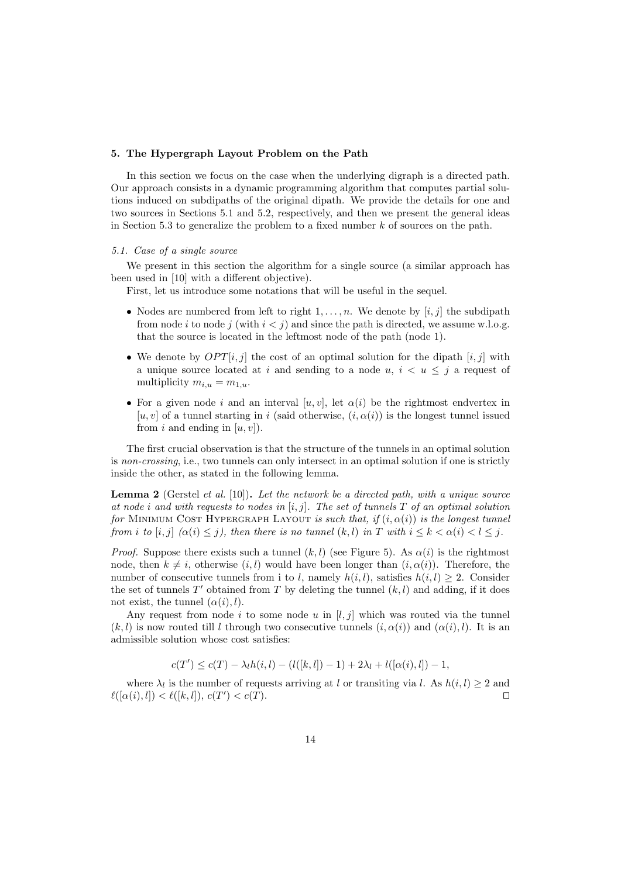#### 5. The Hypergraph Layout Problem on the Path

In this section we focus on the case when the underlying digraph is a directed path. Our approach consists in a dynamic programming algorithm that computes partial solutions induced on subdipaths of the original dipath. We provide the details for one and two sources in Sections 5.1 and 5.2, respectively, and then we present the general ideas in Section 5.3 to generalize the problem to a fixed number  $k$  of sources on the path.

#### 5.1. Case of a single source

We present in this section the algorithm for a single source (a similar approach has been used in [10] with a different objective).

First, let us introduce some notations that will be useful in the sequel.

- Nodes are numbered from left to right  $1, \ldots, n$ . We denote by [i, j] the subdipath from node i to node j (with  $i < j$ ) and since the path is directed, we assume w.l.o.g. that the source is located in the leftmost node of the path (node 1).
- We denote by  $OPT[i, j]$  the cost of an optimal solution for the dipath  $[i, j]$  with a unique source located at i and sending to a node  $u, i < u \leq j$  a request of multiplicity  $m_{i,u} = m_{1,u}$ .
- For a given node i and an interval  $[u, v]$ , let  $\alpha(i)$  be the rightmost endvertex in  $[u, v]$  of a tunnel starting in i (said otherwise,  $(i, \alpha(i))$ ) is the longest tunnel issued from i and ending in  $[u, v]$ .

The first crucial observation is that the structure of the tunnels in an optimal solution is non-crossing, i.e., two tunnels can only intersect in an optimal solution if one is strictly inside the other, as stated in the following lemma.

**Lemma 2** (Gerstel *et al.* [10]). Let the network be a directed path, with a unique source at node *i* and with requests to nodes in  $[i, j]$ . The set of tunnels  $T$  of an optimal solution for MINIMUM COST HYPERGRAPH LAYOUT is such that, if  $(i, \alpha(i))$  is the longest tunnel from i to  $[i, j]$   $(\alpha(i) \leq j)$ , then there is no tunnel  $(k, l)$  in T with  $i \leq k < \alpha(i) < l \leq j$ .

*Proof.* Suppose there exists such a tunnel  $(k, l)$  (see Figure 5). As  $\alpha(i)$  is the rightmost node, then  $k \neq i$ , otherwise  $(i, l)$  would have been longer than  $(i, \alpha(i))$ . Therefore, the number of consecutive tunnels from i to l, namely  $h(i, l)$ , satisfies  $h(i, l) \geq 2$ . Consider the set of tunnels  $T'$  obtained from T by deleting the tunnel  $(k, l)$  and adding, if it does not exist, the tunnel  $(\alpha(i), l)$ .

Any request from node i to some node u in  $[l, j]$  which was routed via the tunnel  $(k, l)$  is now routed till l through two consecutive tunnels  $(i, \alpha(i))$  and  $(\alpha(i), l)$ . It is an admissible solution whose cost satisfies:

$$
c(T') \le c(T) - \lambda_l h(i, l) - (l([k, l]) - 1) + 2\lambda_l + l([\alpha(i), l]) - 1,
$$

where  $\lambda_l$  is the number of requests arriving at l or transiting via l. As  $h(i, l) \geq 2$  and  $\ell([\alpha(i), l]) < \ell([k, l]), c(T') < c(T).$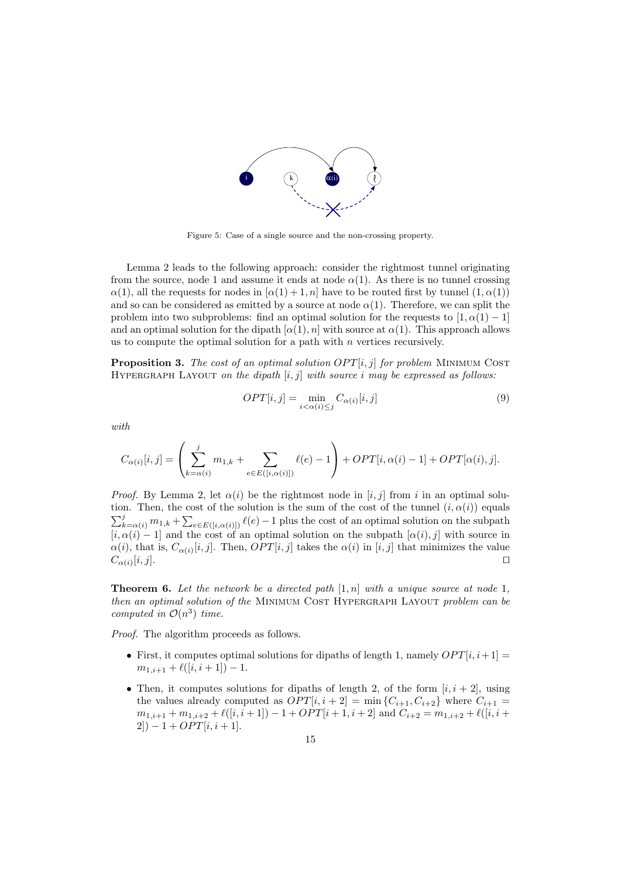

Figure 5: Case of a single source and the non-crossing property.

Lemma 2 leads to the following approach: consider the rightmost tunnel originating from the source, node 1 and assume it ends at node  $\alpha(1)$ . As there is no tunnel crossing  $\alpha(1)$ , all the requests for nodes in  $\alpha(1) + 1, n$  have to be routed first by tunnel  $(1, \alpha(1))$ and so can be considered as emitted by a source at node  $\alpha(1)$ . Therefore, we can split the problem into two subproblems: find an optimal solution for the requests to  $[1, \alpha(1) - 1]$ and an optimal solution for the dipath  $[\alpha(1), n]$  with source at  $\alpha(1)$ . This approach allows us to compute the optimal solution for a path with  $n$  vertices recursively.

**Proposition 3.** The cost of an optimal solution  $OPT[i, j]$  for problem MINIMUM COST HYPERGRAPH LAYOUT on the dipath  $[i, j]$  with source i may be expressed as follows:

$$
OPT[i,j] = \min_{i < \alpha(i) \le j} C_{\alpha(i)}[i,j] \tag{9}
$$

with

$$
C_{\alpha(i)}[i,j] = \left(\sum_{k=\alpha(i)}^j m_{1,k} + \sum_{e \in E([i,\alpha(i)])} \ell(e) - 1\right) + OPT[i,\alpha(i) - 1] + OPT[\alpha(i),j].
$$

*Proof.* By Lemma 2, let  $\alpha(i)$  be the rightmost node in  $[i, j]$  from i in an optimal solution. Then, the cost of the solution is the sum of the cost of the tunnel  $(i, \alpha(i))$  equals  $\sum_{k=\alpha(i)}^{j} m_{1,k} + \sum_{e \in E([i,\alpha(i)])} \ell(e) - 1$  plus the cost of an optimal solution on the subpath  $[i, \alpha(i) - 1]$  and the cost of an optimal solution on the subpath  $[\alpha(i), j]$  with source in  $\alpha(i)$ , that is,  $C_{\alpha(i)}[i,j]$ . Then,  $OPT[i,j]$  takes the  $\alpha(i)$  in  $[i,j]$  that minimizes the value  $C_{\alpha(i)}[i,j].$  $[i, j].$ 

**Theorem 6.** Let the network be a directed path  $[1, n]$  with a unique source at node 1, then an optimal solution of the MINIMUM COST HYPERGRAPH LAYOUT problem can be computed in  $\mathcal{O}(n^3)$  time.

Proof. The algorithm proceeds as follows.

- First, it computes optimal solutions for dipaths of length 1, namely  $OPT[i, i+1] =$  $m_{1,i+1} + \ell([i,i+1]) - 1.$
- Then, it computes solutions for dipaths of length 2, of the form  $[i, i + 2]$ , using the values already computed as  $OPT[i, i + 2] = \min\{C_{i+1}, C_{i+2}\}\$  where  $C_{i+1} =$  $m_{1,i+1} + m_{1,i+2} + \ell([i, i+1]) - 1 + OPT[i+1, i+2]$  and  $C_{i+2} = m_{1,i+2} + \ell([i, i+1])$  $2]$ ) – 1 + OPT[ $i, i + 1$ ].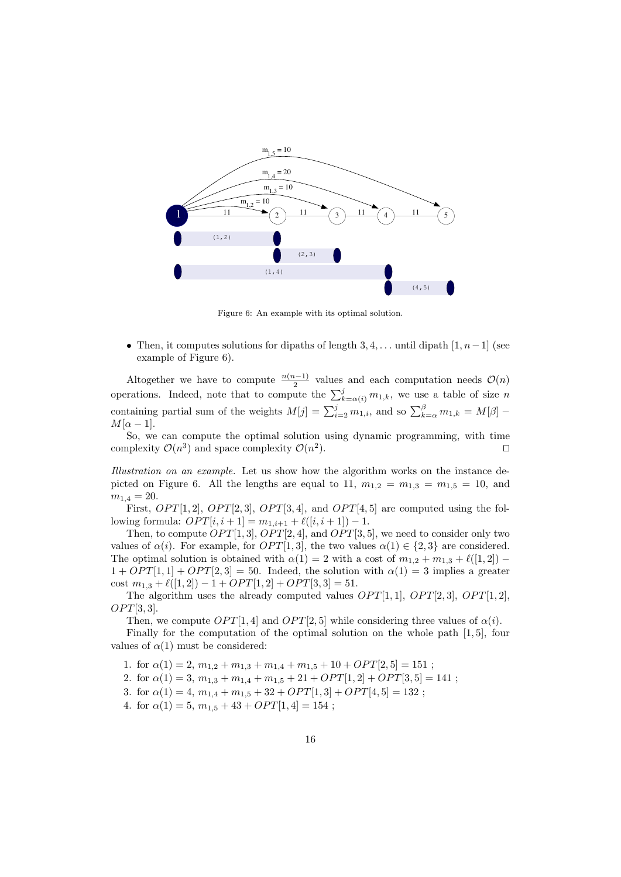

Figure 6: An example with its optimal solution.

• Then, it computes solutions for dipaths of length  $3, 4, \ldots$  until dipath  $[1, n-1]$  (see example of Figure 6).

Altogether we have to compute  $\frac{n(n-1)}{2}$  values and each computation needs  $\mathcal{O}(n)$ operations. Indeed, note that to compute the  $\sum_{k=\alpha(i)}^{j} m_{1,k}$ , we use a table of size n containing partial sum of the weights  $M[j] = \sum_{i=2}^{j} m_{1,i}$ , and so  $\sum_{k=\alpha}^{\beta} m_{1,k} = M[\beta]$  $M[\alpha-1].$ 

So, we can compute the optimal solution using dynamic programming, with time complexity  $\mathcal{O}(n^3)$  and space complexity  $\mathcal{O}(n^2)$ ). ⊓⊔

Illustration on an example. Let us show how the algorithm works on the instance depicted on Figure 6. All the lengths are equal to 11,  $m_{1,2} = m_{1,3} = m_{1,5} = 10$ , and  $m_{1,4} = 20.$ 

First,  $OPT[1,2], OPT[2,3], OPT[3,4],$  and  $OPT[4,5]$  are computed using the following formula:  $OPT[i, i + 1] = m_{1,i+1} + \ell([i, i + 1]) - 1$ .

Then, to compute  $OPT[1, 3]$ ,  $OPT[2, 4]$ , and  $OPT[3, 5]$ , we need to consider only two values of  $\alpha(i)$ . For example, for  $OPT[1, 3]$ , the two values  $\alpha(1) \in \{2, 3\}$  are considered. The optimal solution is obtained with  $\alpha(1) = 2$  with a cost of  $m_{1,2} + m_{1,3} + \ell([1,2])$  –  $1 + OPT[1, 1] + OPT[2, 3] = 50$ . Indeed, the solution with  $\alpha(1) = 3$  implies a greater cost  $m_{1,3} + \ell([1,2]) - 1 + OPT[1,2] + OPT[3,3] = 51.$ 

The algorithm uses the already computed values  $OPT[1, 1]$ ,  $OPT[2, 3]$ ,  $OPT[1, 2]$ ,  $OPT[3, 3]$ .

Then, we compute  $OPT[1, 4]$  and  $OPT[2, 5]$  while considering three values of  $\alpha(i)$ .

Finally for the computation of the optimal solution on the whole path  $[1, 5]$ , four values of  $\alpha(1)$  must be considered:

1. for  $\alpha(1) = 2$ ,  $m_{1,2} + m_{1,3} + m_{1,4} + m_{1,5} + 10 + OPT[2, 5] = 151$ ;

2. for  $\alpha(1) = 3, m_{1,3} + m_{1,4} + m_{1,5} + 21 + OPT[1, 2] + OPT[3, 5] = 141$ ;

3. for  $\alpha(1) = 4$ ,  $m_{1,4} + m_{1,5} + 32 + OPT[1,3] + OPT[4,5] = 132$ ;

4. for  $\alpha(1) = 5$ ,  $m_{1,5} + 43 + OPT[1, 4] = 154$ ;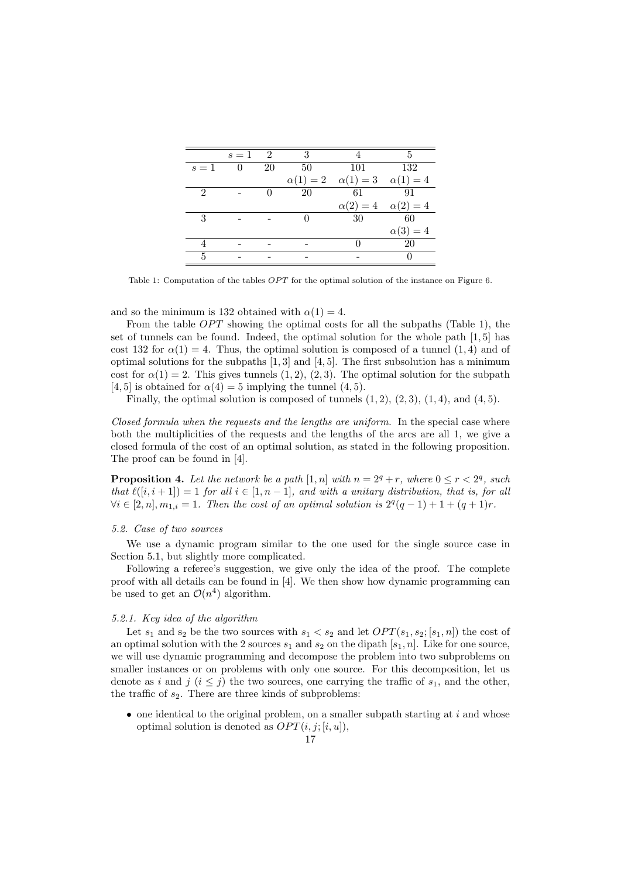|                             | $s=1$          | $\overline{\phantom{1}}^2$ | 3             |                                     | 5             |
|-----------------------------|----------------|----------------------------|---------------|-------------------------------------|---------------|
| $s=1$                       | $\overline{0}$ | 20                         | 50            | 101                                 | 132           |
|                             |                |                            | $\alpha(1)=2$ | $\alpha(1) = 3 \quad \alpha(1) = 4$ |               |
| $\mathcal{D}_{\mathcal{L}}$ |                |                            | 20            | 61                                  | -91           |
|                             |                |                            |               | $\alpha(2)=4$                       | $\alpha(2)=4$ |
| 3                           |                |                            |               | 30                                  | 60            |
|                             |                |                            |               |                                     | $\alpha(3)=4$ |
|                             |                |                            |               |                                     | 20            |
| 5                           |                |                            |               |                                     |               |

Table 1: Computation of the tables  $OPT$  for the optimal solution of the instance on Figure 6.

and so the minimum is 132 obtained with  $\alpha(1) = 4$ .

From the table  $OPT$  showing the optimal costs for all the subpaths (Table 1), the set of tunnels can be found. Indeed, the optimal solution for the whole path [1, 5] has cost 132 for  $\alpha(1) = 4$ . Thus, the optimal solution is composed of a tunnel (1, 4) and of optimal solutions for the subpaths  $[1, 3]$  and  $[4, 5]$ . The first subsolution has a minimum cost for  $\alpha(1) = 2$ . This gives tunnels  $(1, 2)$ ,  $(2, 3)$ . The optimal solution for the subpath [4, 5] is obtained for  $\alpha(4) = 5$  implying the tunnel (4, 5).

Finally, the optimal solution is composed of tunnels  $(1, 2)$ ,  $(2, 3)$ ,  $(1, 4)$ , and  $(4, 5)$ .

Closed formula when the requests and the lengths are uniform. In the special case where both the multiplicities of the requests and the lengths of the arcs are all 1, we give a closed formula of the cost of an optimal solution, as stated in the following proposition. The proof can be found in [4].

**Proposition 4.** Let the network be a path  $[1, n]$  with  $n = 2^q + r$ , where  $0 \le r < 2^q$ , such that  $\ell([i, i + 1]) = 1$  for all  $i \in [1, n - 1]$ , and with a unitary distribution, that is, for all  $\forall i \in [2, n], m_{1,i} = 1$ . Then the cost of an optimal solution is  $2^q(q-1) + 1 + (q+1)r$ .

#### 5.2. Case of two sources

We use a dynamic program similar to the one used for the single source case in Section 5.1, but slightly more complicated.

Following a referee's suggestion, we give only the idea of the proof. The complete proof with all details can be found in [4]. We then show how dynamic programming can be used to get an  $\mathcal{O}(n^4)$  algorithm.

#### 5.2.1. Key idea of the algorithm

Let  $s_1$  and  $s_2$  be the two sources with  $s_1 < s_2$  and let  $OPT(s_1, s_2; [s_1, n])$  the cost of an optimal solution with the 2 sources  $s_1$  and  $s_2$  on the dipath  $[s_1, n]$ . Like for one source, we will use dynamic programming and decompose the problem into two subproblems on smaller instances or on problems with only one source. For this decomposition, let us denote as i and j  $(i \leq j)$  the two sources, one carrying the traffic of  $s_1$ , and the other, the traffic of  $s_2$ . There are three kinds of subproblems:

 $\bullet$  one identical to the original problem, on a smaller subpath starting at i and whose optimal solution is denoted as  $OPT(i, j; [i, u]),$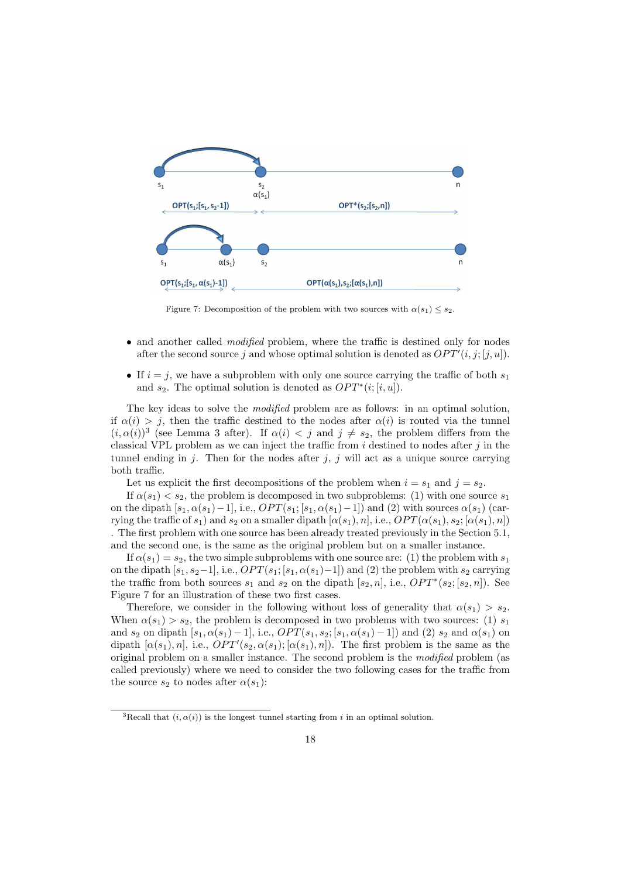

Figure 7: Decomposition of the problem with two sources with  $\alpha(s_1) \leq s_2$ .

- and another called *modified* problem, where the traffic is destined only for nodes after the second source j and whose optimal solution is denoted as  $OPT'(i, j; [j, u])$ .
- If  $i = j$ , we have a subproblem with only one source carrying the traffic of both  $s_1$ and  $s_2$ . The optimal solution is denoted as  $OPT^*(i; [i, u])$ .

The key ideas to solve the modified problem are as follows: in an optimal solution, if  $\alpha(i) > j$ , then the traffic destined to the nodes after  $\alpha(i)$  is routed via the tunnel  $(i, \alpha(i))^3$  (see Lemma 3 after). If  $\alpha(i) < j$  and  $j \neq s_2$ , the problem differs from the classical VPL problem as we can inject the traffic from  $i$  destined to nodes after  $j$  in the tunnel ending in j. Then for the nodes after j, j will act as a unique source carrying both traffic.

Let us explicit the first decompositions of the problem when  $i = s_1$  and  $j = s_2$ .

If  $\alpha(s_1) < s_2$ , the problem is decomposed in two subproblems: (1) with one source  $s_1$ on the dipath  $[s_1, \alpha(s_1)-1]$ , i.e.,  $OPT(s_1; [s_1, \alpha(s_1)-1])$  and (2) with sources  $\alpha(s_1)$  (carrying the traffic of  $s_1$ ) and  $s_2$  on a smaller dipath  $[\alpha(s_1), n]$ , i.e.,  $OPT(\alpha(s_1), s_2; [\alpha(s_1), n])$ . The first problem with one source has been already treated previously in the Section 5.1, and the second one, is the same as the original problem but on a smaller instance.

If  $\alpha(s_1) = s_2$ , the two simple subproblems with one source are: (1) the problem with  $s_1$ on the dipath  $[s_1, s_2-1]$ , i.e.,  $OPT(s_1; [s_1, \alpha(s_1)-1])$  and (2) the problem with  $s_2$  carrying the traffic from both sources  $s_1$  and  $s_2$  on the dipath  $[s_2, n]$ , i.e.,  $OPT^*(s_2; [s_2, n])$ . See Figure 7 for an illustration of these two first cases.

Therefore, we consider in the following without loss of generality that  $\alpha(s_1) > s_2$ . When  $\alpha(s_1) > s_2$ , the problem is decomposed in two problems with two sources: (1)  $s_1$ and s<sub>2</sub> on dipath  $[s_1, \alpha(s_1) - 1]$ , i.e.,  $OPT(s_1, s_2; [s_1, \alpha(s_1) - 1])$  and (2) s<sub>2</sub> and  $\alpha(s_1)$  on dipath  $[\alpha(s_1), n]$ , i.e.,  $OPT'(s_2, \alpha(s_1); [\alpha(s_1), n])$ . The first problem is the same as the original problem on a smaller instance. The second problem is the modified problem (as called previously) where we need to consider the two following cases for the traffic from the source  $s_2$  to nodes after  $\alpha(s_1)$ :

<sup>&</sup>lt;sup>3</sup>Recall that  $(i, \alpha(i))$  is the longest tunnel starting from i in an optimal solution.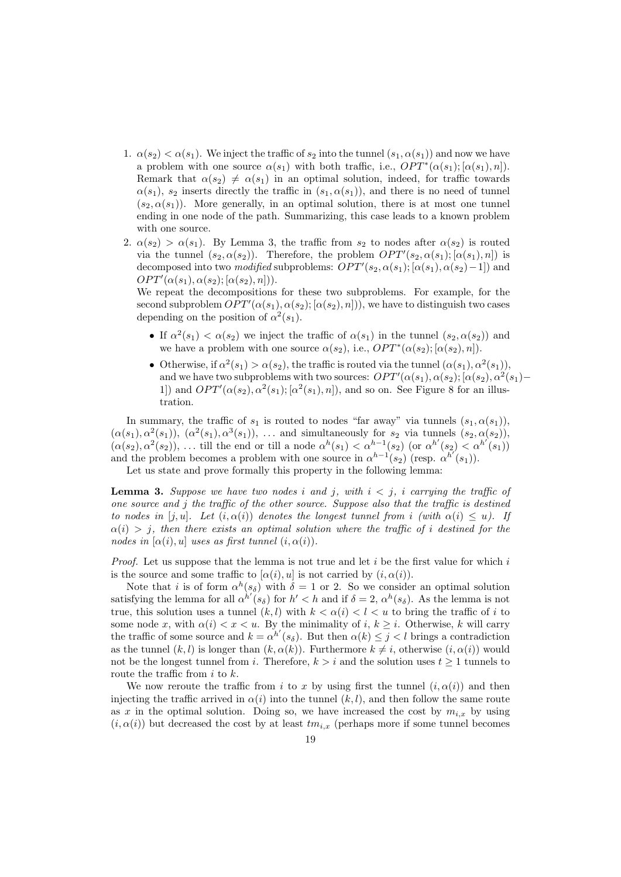- 1.  $\alpha(s_2) < \alpha(s_1)$ . We inject the traffic of  $s_2$  into the tunnel  $(s_1, \alpha(s_1))$  and now we have a problem with one source  $\alpha(s_1)$  with both traffic, i.e.,  $OPT^*(\alpha(s_1); [\alpha(s_1), n])$ . Remark that  $\alpha(s_2) \neq \alpha(s_1)$  in an optimal solution, indeed, for traffic towards  $\alpha(s_1)$ ,  $s_2$  inserts directly the traffic in  $(s_1, \alpha(s_1))$ , and there is no need of tunnel  $(s_2, \alpha(s_1))$ . More generally, in an optimal solution, there is at most one tunnel ending in one node of the path. Summarizing, this case leads to a known problem with one source.
- 2.  $\alpha(s_2) > \alpha(s_1)$ . By Lemma 3, the traffic from  $s_2$  to nodes after  $\alpha(s_2)$  is routed via the tunnel  $(s_2, \alpha(s_2))$ . Therefore, the problem  $OPT'(s_2, \alpha(s_1); [\alpha(s_1), n])$  is decomposed into two modified subproblems:  $OPT'(s_2, \alpha(s_1); [\alpha(s_1), \alpha(s_2)-1])$  and  $OPT'(\alpha(s_1), \alpha(s_2); [\alpha(s_2), n]).$

We repeat the decompositions for these two subproblems. For example, for the second subproblem  $OPT'(\alpha(s_1), \alpha(s_2); [\alpha(s_2), n])$ , we have to distinguish two cases depending on the position of  $\alpha^2(s_1)$ .

- If  $\alpha^2(s_1) < \alpha(s_2)$  we inject the traffic of  $\alpha(s_1)$  in the tunnel  $(s_2, \alpha(s_2))$  and we have a problem with one source  $\alpha(s_2)$ , i.e.,  $OPT^*(\alpha(s_2); [\alpha(s_2), n])$ .
- Otherwise, if  $\alpha^2(s_1) > \alpha(s_2)$ , the traffic is routed via the tunnel  $(\alpha(s_1), \alpha^2(s_1))$ , and we have two subproblems with two sources:  $OPT'(\alpha(s_1), \alpha(s_2); [\alpha(s_2), \alpha^2(s_1) -$ 1]) and  $OPT'(\alpha(s_2), \alpha^2(s_1); [\alpha^2(s_1), n])$ , and so on. See Figure 8 for an illustration.

In summary, the traffic of  $s_1$  is routed to nodes "far away" via tunnels  $(s_1, \alpha(s_1))$ ,  $(\alpha(s_1), \alpha^2(s_1)), (\alpha^2(s_1), \alpha^3(s_1)), \ldots$  and simultaneously for  $s_2$  via tunnels  $(s_2, \alpha(s_2)),$  $(\alpha(s_2), \alpha^2(s_2)), \ldots$  till the end or till a node  $\alpha^h(s_1) < \alpha^{h-1}(s_2)$  (or  $\alpha^{h'}(s_2) < \alpha^{h'}(s_1)$ ) and the problem becomes a problem with one source in  $\alpha^{h-1}(s_2)$  (resp.  $\alpha^{h'}(s_1)$ ).

Let us state and prove formally this property in the following lemma:

**Lemma 3.** Suppose we have two nodes i and j, with  $i < j$ , i carrying the traffic of one source and j the traffic of the other source. Suppose also that the traffic is destined to nodes in [j, u]. Let  $(i, \alpha(i))$  denotes the longest tunnel from i (with  $\alpha(i) \leq u$ ). If  $\alpha(i) > j$ , then there exists an optimal solution where the traffic of i destined for the nodes in  $[\alpha(i), u]$  uses as first tunnel  $(i, \alpha(i))$ .

*Proof.* Let us suppose that the lemma is not true and let  $i$  be the first value for which  $i$ is the source and some traffic to  $[\alpha(i), u]$  is not carried by  $(i, \alpha(i))$ .

Note that *i* is of form  $\alpha^h(s_{\delta})$  with  $\delta = 1$  or 2. So we consider an optimal solution satisfying the lemma for all  $\alpha^{h'}(s_{\delta})$  for  $h' < h$  and if  $\delta = 2$ ,  $\alpha^{h}(s_{\delta})$ . As the lemma is not true, this solution uses a tunnel  $(k, l)$  with  $k < \alpha(i) < l < u$  to bring the traffic of i to some node x, with  $\alpha(i) < x < u$ . By the minimality of i,  $k \geq i$ . Otherwise, k will carry the traffic of some source and  $k = \alpha^{h'}(s_{\delta})$ . But then  $\alpha(k) \leq j < l$  brings a contradiction as the tunnel  $(k, l)$  is longer than  $(k, \alpha(k))$ . Furthermore  $k \neq i$ , otherwise  $(i, \alpha(i))$  would not be the longest tunnel from i. Therefore,  $k > i$  and the solution uses  $t \geq 1$  tunnels to route the traffic from  $i$  to  $k$ .

We now reroute the traffic from i to x by using first the tunnel  $(i, \alpha(i))$  and then injecting the traffic arrived in  $\alpha(i)$  into the tunnel  $(k, l)$ , and then follow the same route as x in the optimal solution. Doing so, we have increased the cost by  $m_{i,x}$  by using  $(i, \alpha(i))$  but decreased the cost by at least  $tm_{i,x}$  (perhaps more if some tunnel becomes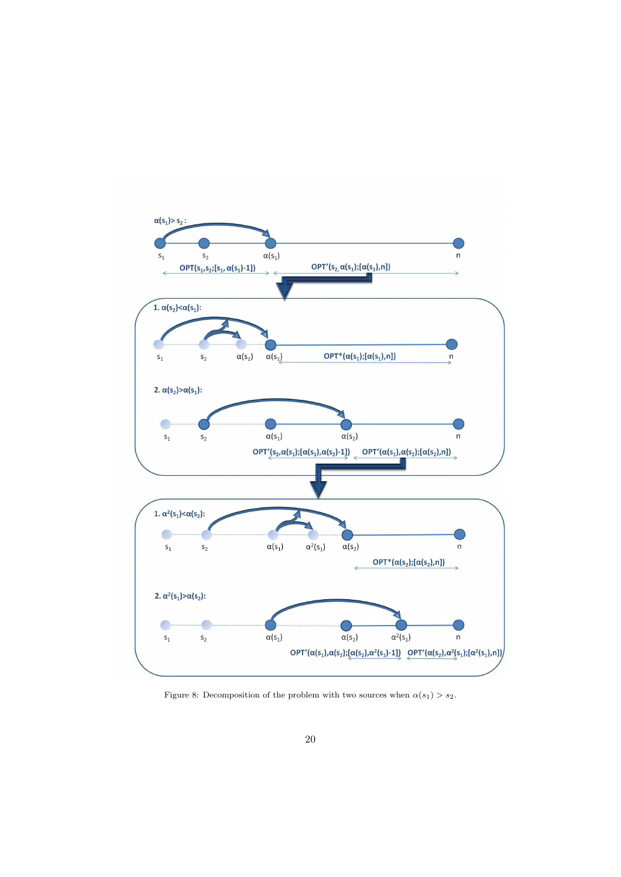

Figure 8: Decomposition of the problem with two sources when  $\alpha(s_1) > s_2$ .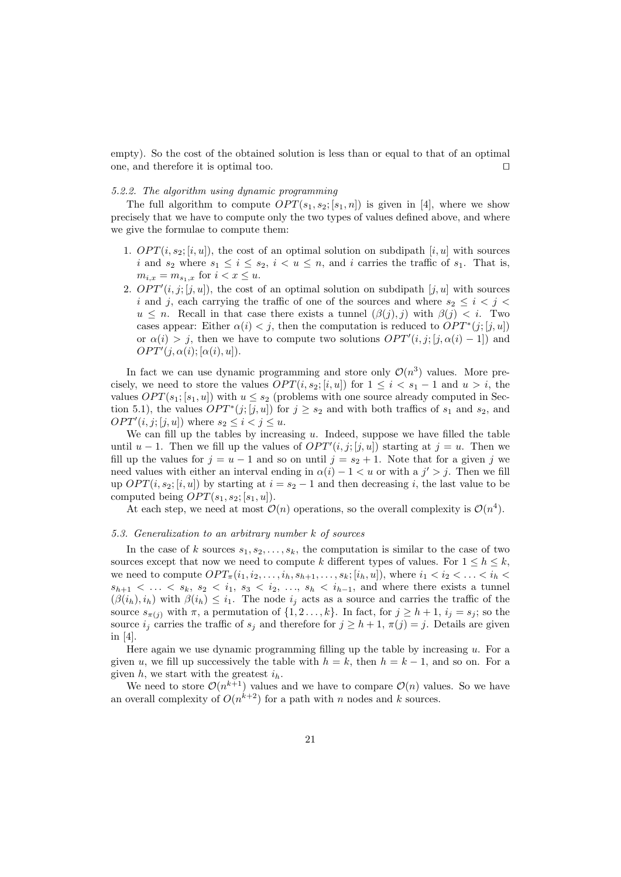empty). So the cost of the obtained solution is less than or equal to that of an optimal one, and therefore it is optimal too. ⊓⊔

#### 5.2.2. The algorithm using dynamic programming

The full algorithm to compute  $OPT(s_1, s_2; [s_1, n])$  is given in [4], where we show precisely that we have to compute only the two types of values defined above, and where we give the formulae to compute them:

- 1.  $OPT(i, s_2; [i, u])$ , the cost of an optimal solution on subdipath  $[i, u]$  with sources i and  $s_2$  where  $s_1 \leq i \leq s_2$ ,  $i < u \leq n$ , and i carries the traffic of  $s_1$ . That is,  $m_{i,x} = m_{s_1,x}$  for  $i < x \le u$ .
- 2.  $OPT'(i, j; [j, u])$ , the cost of an optimal solution on subdipath  $[j, u]$  with sources i and j, each carrying the traffic of one of the sources and where  $s_2 \leq i \leq j \leq$  $u \leq n$ . Recall in that case there exists a tunnel  $(\beta(i), i)$  with  $\beta(i) \leq i$ . Two cases appear: Either  $\alpha(i) < j$ , then the computation is reduced to  $OPT^*(j; [j, u])$ or  $\alpha(i) > j$ , then we have to compute two solutions  $OPT'(i, j; [j, \alpha(i) - 1])$  and  $OPT'(j, \alpha(i); [\alpha(i), u]).$

In fact we can use dynamic programming and store only  $\mathcal{O}(n^3)$  values. More precisely, we need to store the values  $OPT(i, s_2; [i, u])$  for  $1 \leq i < s_1 - 1$  and  $u > i$ , the values  $OPT(s_1; [s_1, u])$  with  $u \leq s_2$  (problems with one source already computed in Section 5.1), the values  $OPT^*(j; [j, u])$  for  $j \geq s_2$  and with both traffics of  $s_1$  and  $s_2$ , and  $OPT'(i, j; [j, u])$  where  $s_2 \leq i < j \leq u$ .

We can fill up the tables by increasing  $u$ . Indeed, suppose we have filled the table until  $u-1$ . Then we fill up the values of  $OPT'(i,j;[j,u])$  starting at  $j=u$ . Then we fill up the values for  $j = u - 1$  and so on until  $j = s_2 + 1$ . Note that for a given j we need values with either an interval ending in  $\alpha(i) - 1 < u$  or with a  $j' > j$ . Then we fill up  $OPT(i, s_2; [i, u])$  by starting at  $i = s_2 - 1$  and then decreasing i, the last value to be computed being  $OPT(s_1, s_2; [s_1, u])$ .

At each step, we need at most  $\mathcal{O}(n)$  operations, so the overall complexity is  $\mathcal{O}(n^4)$ .

#### 5.3. Generalization to an arbitrary number k of sources

In the case of k sources  $s_1, s_2, \ldots, s_k$ , the computation is similar to the case of two sources except that now we need to compute k different types of values. For  $1 \leq h \leq k$ , we need to compute  $OPT_{\pi}(i_1, i_2, \ldots, i_h, s_{h+1}, \ldots, s_k; [i_h, u])$ , where  $i_1 < i_2 < \ldots < i_h <$  $s_{h+1} < \ldots < s_k$ ,  $s_2 < i_1$ ,  $s_3 < i_2$ , ...,  $s_h < i_{h-1}$ , and where there exists a tunnel  $(\beta(i_h), i_h)$  with  $\beta(i_h) \leq i_1$ . The node  $i_j$  acts as a source and carries the traffic of the source  $s_{\pi(i)}$  with  $\pi$ , a permutation of  $\{1, 2 \ldots, k\}$ . In fact, for  $j \geq h+1$ ,  $i_j = s_j$ ; so the source  $i_j$  carries the traffic of  $s_j$  and therefore for  $j \geq h+1$ ,  $\pi(j) = j$ . Details are given in [4].

Here again we use dynamic programming filling up the table by increasing  $u$ . For a given u, we fill up successively the table with  $h = k$ , then  $h = k - 1$ , and so on. For a given  $h$ , we start with the greatest  $i_h$ .

We need to store  $\mathcal{O}(n^{k+1})$  values and we have to compare  $\mathcal{O}(n)$  values. So we have an overall complexity of  $O(n^{k+2})$  for a path with n nodes and k sources.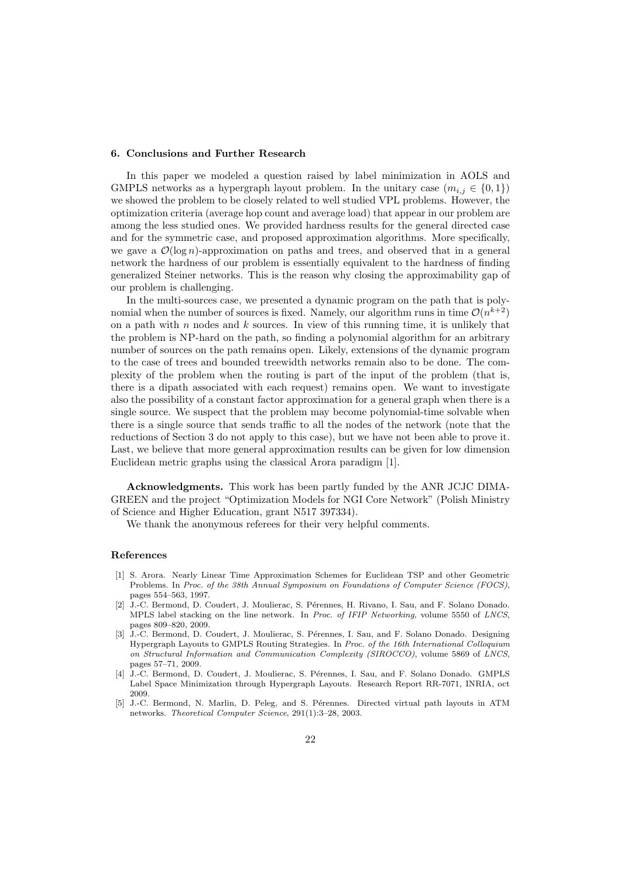#### 6. Conclusions and Further Research

In this paper we modeled a question raised by label minimization in AOLS and GMPLS networks as a hypergraph layout problem. In the unitary case  $(m_{i,j} \in \{0,1\})$ we showed the problem to be closely related to well studied VPL problems. However, the optimization criteria (average hop count and average load) that appear in our problem are among the less studied ones. We provided hardness results for the general directed case and for the symmetric case, and proposed approximation algorithms. More specifically, we gave a  $\mathcal{O}(\log n)$ -approximation on paths and trees, and observed that in a general network the hardness of our problem is essentially equivalent to the hardness of finding generalized Steiner networks. This is the reason why closing the approximability gap of our problem is challenging.

In the multi-sources case, we presented a dynamic program on the path that is polynomial when the number of sources is fixed. Namely, our algorithm runs in time  $\mathcal{O}(n^{k+2})$ on a path with  $n$  nodes and  $k$  sources. In view of this running time, it is unlikely that the problem is NP-hard on the path, so finding a polynomial algorithm for an arbitrary number of sources on the path remains open. Likely, extensions of the dynamic program to the case of trees and bounded treewidth networks remain also to be done. The complexity of the problem when the routing is part of the input of the problem (that is, there is a dipath associated with each request) remains open. We want to investigate also the possibility of a constant factor approximation for a general graph when there is a single source. We suspect that the problem may become polynomial-time solvable when there is a single source that sends traffic to all the nodes of the network (note that the reductions of Section 3 do not apply to this case), but we have not been able to prove it. Last, we believe that more general approximation results can be given for low dimension Euclidean metric graphs using the classical Arora paradigm [1].

Acknowledgments. This work has been partly funded by the ANR JCJC DIMA-GREEN and the project "Optimization Models for NGI Core Network" (Polish Ministry of Science and Higher Education, grant N517 397334).

We thank the anonymous referees for their very helpful comments.

#### References

- [1] S. Arora. Nearly Linear Time Approximation Schemes for Euclidean TSP and other Geometric Problems. In *Proc. of the 38th Annual Symposium on Foundations of Computer Science (FOCS)*, pages 554–563, 1997.
- [2] J.-C. Bermond, D. Coudert, J. Moulierac, S. Pérennes, H. Rivano, I. Sau, and F. Solano Donado. MPLS label stacking on the line network. In *Proc. of IFIP Networking*, volume 5550 of *LNCS*, pages 809–820, 2009.
- [3] J.-C. Bermond, D. Coudert, J. Moulierac, S. Pérennes, I. Sau, and F. Solano Donado. Designing Hypergraph Layouts to GMPLS Routing Strategies. In *Proc. of the 16th International Colloquium on Structural Information and Communication Complexity (SIROCCO)*, volume 5869 of *LNCS*, pages 57–71, 2009.
- [4] J.-C. Bermond, D. Coudert, J. Moulierac, S. Pérennes, I. Sau, and F. Solano Donado. GMPLS Label Space Minimization through Hypergraph Layouts. Research Report RR-7071, INRIA, oct 2009.
- [5] J.-C. Bermond, N. Marlin, D. Peleg, and S. Pérennes. Directed virtual path layouts in ATM networks. *Theoretical Computer Science*, 291(1):3–28, 2003.